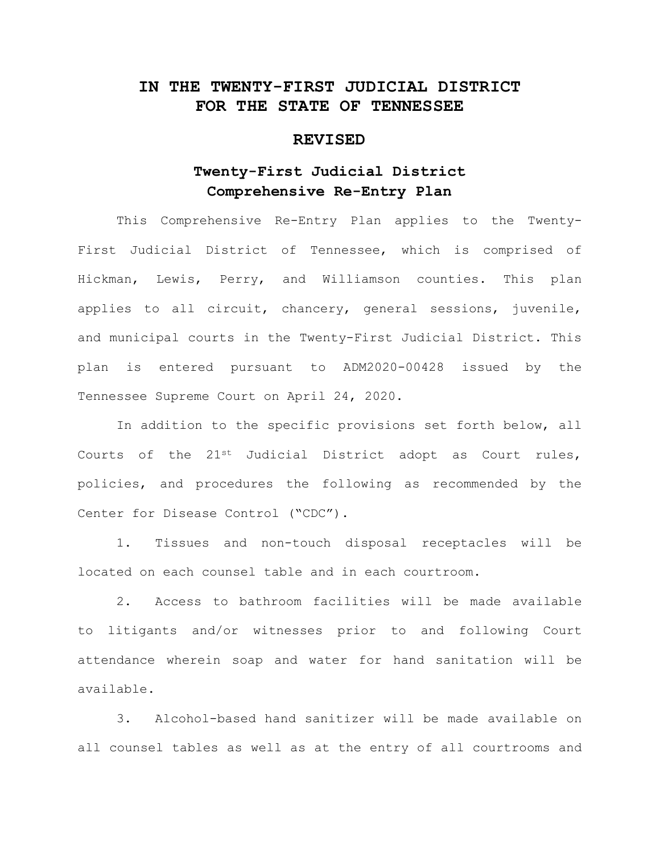# **IN THE TWENTY-FIRST JUDICIAL DISTRICT FOR THE STATE OF TENNESSEE**

## **REVISED**

# **Twenty-First Judicial District Comprehensive Re-Entry Plan**

This Comprehensive Re-Entry Plan applies to the Twenty-First Judicial District of Tennessee, which is comprised of Hickman, Lewis, Perry, and Williamson counties. This plan applies to all circuit, chancery, general sessions, juvenile, and municipal courts in the Twenty-First Judicial District. This plan is entered pursuant to ADM2020-00428 issued by the Tennessee Supreme Court on April 24, 2020.

In addition to the specific provisions set forth below, all Courts of the  $21^{st}$  Judicial District adopt as Court rules, policies, and procedures the following as recommended by the Center for Disease Control ("CDC").

1. Tissues and non-touch disposal receptacles will be located on each counsel table and in each courtroom.

2. Access to bathroom facilities will be made available to litigants and/or witnesses prior to and following Court attendance wherein soap and water for hand sanitation will be available.

3. Alcohol-based hand sanitizer will be made available on all counsel tables as well as at the entry of all courtrooms and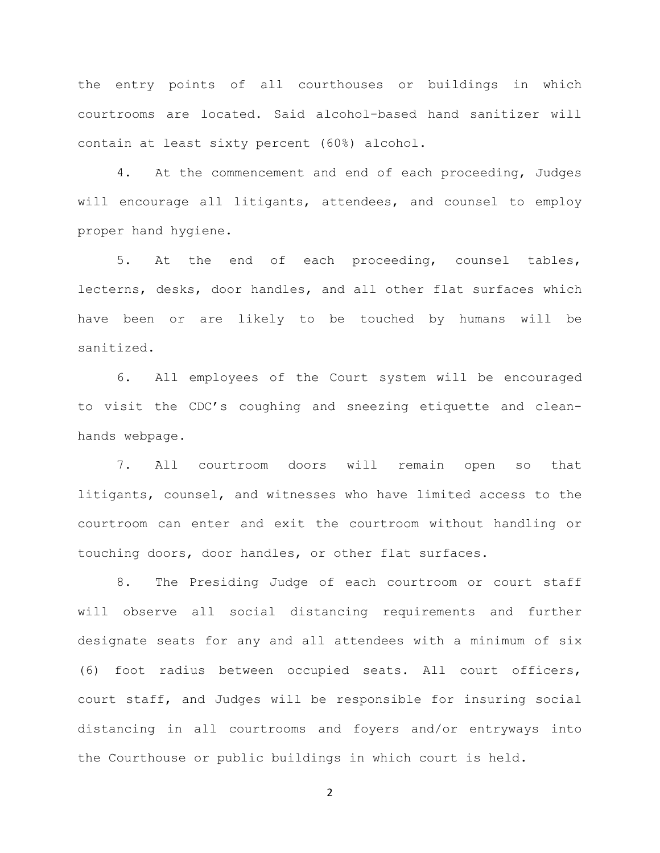the entry points of all courthouses or buildings in which courtrooms are located. Said alcohol-based hand sanitizer will contain at least sixty percent (60%) alcohol.

4. At the commencement and end of each proceeding, Judges will encourage all litigants, attendees, and counsel to employ proper hand hygiene.

5. At the end of each proceeding, counsel tables, lecterns, desks, door handles, and all other flat surfaces which have been or are likely to be touched by humans will be sanitized.

6. All employees of the Court system will be encouraged to visit the CDC's coughing and sneezing etiquette and cleanhands webpage.

7. All courtroom doors will remain open so that litigants, counsel, and witnesses who have limited access to the courtroom can enter and exit the courtroom without handling or touching doors, door handles, or other flat surfaces.

8. The Presiding Judge of each courtroom or court staff will observe all social distancing requirements and further designate seats for any and all attendees with a minimum of six (6) foot radius between occupied seats. All court officers, court staff, and Judges will be responsible for insuring social distancing in all courtrooms and foyers and/or entryways into the Courthouse or public buildings in which court is held.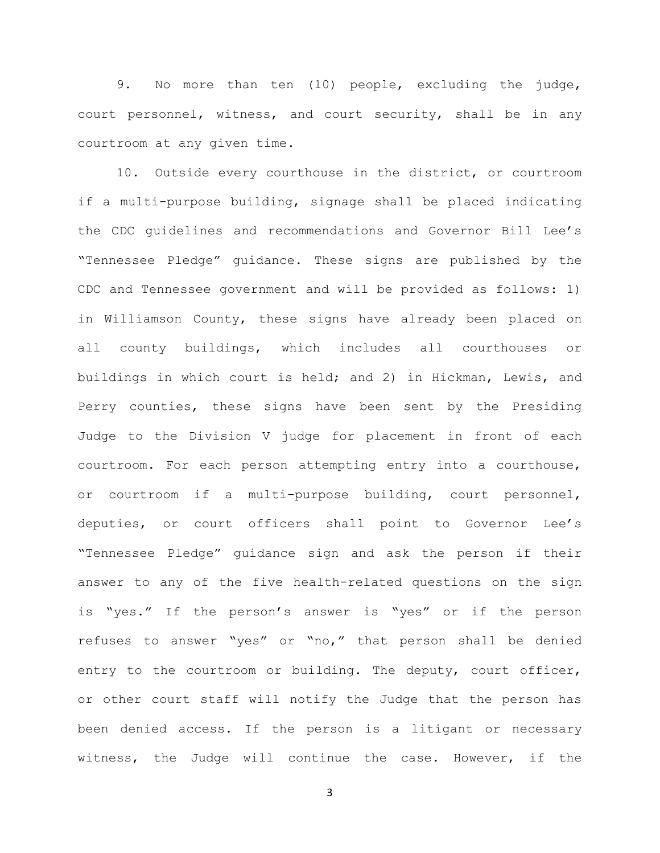9. No more than ten (10) people, excluding the judge, court personnel, witness, and court security, shall be in any courtroom at any given time.

10. Outside every courthouse in the district, or courtroom if a multi-purpose building, signage shall be placed indicating the CDC guidelines and recommendations and Governor Bill Lee's "Tennessee Pledge" guidance. These signs are published by the CDC and Tennessee government and will be provided as follows: 1) in Williamson County, these signs have already been placed on all county buildings, which includes all courthouses or buildings in which court is held; and 2) in Hickman, Lewis, and Perry counties, these signs have been sent by the Presiding Judge to the Division V judge for placement in front of each courtroom. For each person attempting entry into a courthouse, or courtroom if a multi-purpose building, court personnel, deputies, or court officers shall point to Governor Lee's "Tennessee Pledge" guidance sign and ask the person if their answer to any of the five health-related questions on the sign is "yes." If the person's answer is "yes" or if the person refuses to answer "yes" or "no," that person shall be denied entry to the courtroom or building. The deputy, court officer, or other court staff will notify the Judge that the person has been denied access. If the person is a litigant or necessary witness, the Judge will continue the case. However, if the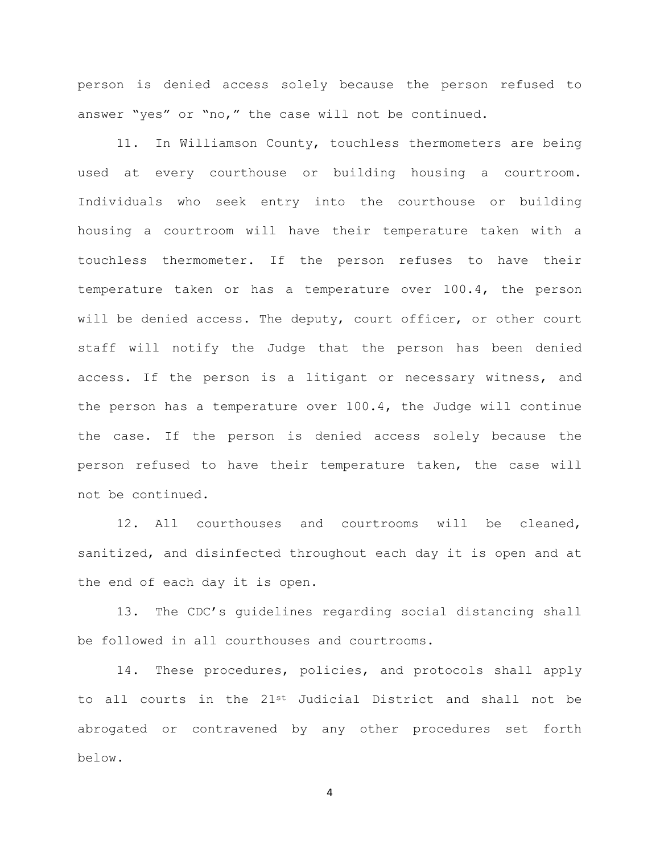person is denied access solely because the person refused to answer "yes" or "no," the case will not be continued.

11. In Williamson County, touchless thermometers are being used at every courthouse or building housing a courtroom. Individuals who seek entry into the courthouse or building housing a courtroom will have their temperature taken with a touchless thermometer. If the person refuses to have their temperature taken or has a temperature over 100.4, the person will be denied access. The deputy, court officer, or other court staff will notify the Judge that the person has been denied access. If the person is a litigant or necessary witness, and the person has a temperature over 100.4, the Judge will continue the case. If the person is denied access solely because the person refused to have their temperature taken, the case will not be continued.

12. All courthouses and courtrooms will be cleaned, sanitized, and disinfected throughout each day it is open and at the end of each day it is open.

13. The CDC's guidelines regarding social distancing shall be followed in all courthouses and courtrooms.

14. These procedures, policies, and protocols shall apply to all courts in the 21st Judicial District and shall not be abrogated or contravened by any other procedures set forth below.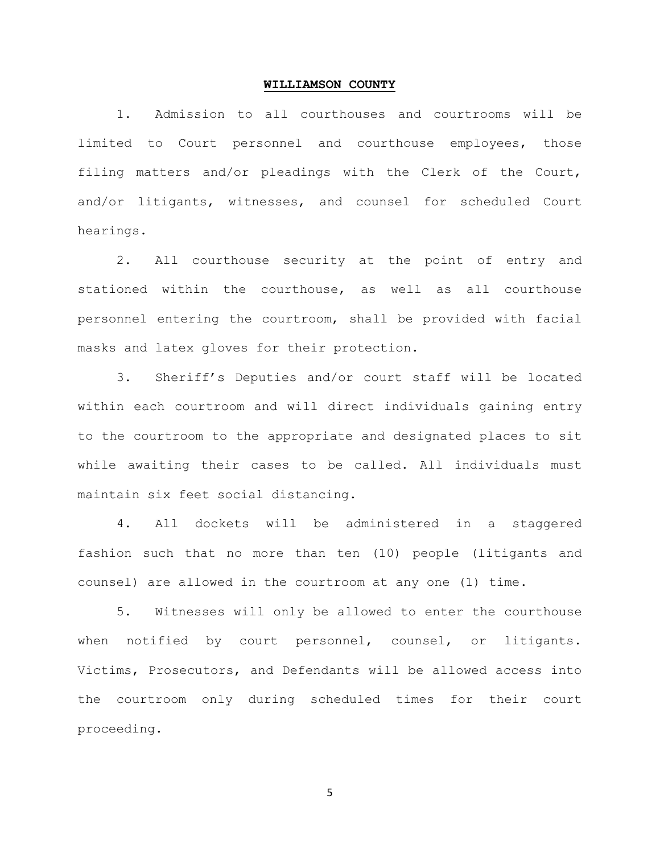#### **WILLIAMSON COUNTY**

1. Admission to all courthouses and courtrooms will be limited to Court personnel and courthouse employees, those filing matters and/or pleadings with the Clerk of the Court, and/or litigants, witnesses, and counsel for scheduled Court hearings.

2. All courthouse security at the point of entry and stationed within the courthouse, as well as all courthouse personnel entering the courtroom, shall be provided with facial masks and latex gloves for their protection.

3. Sheriff's Deputies and/or court staff will be located within each courtroom and will direct individuals gaining entry to the courtroom to the appropriate and designated places to sit while awaiting their cases to be called. All individuals must maintain six feet social distancing.

4. All dockets will be administered in a staggered fashion such that no more than ten (10) people (litigants and counsel) are allowed in the courtroom at any one (1) time.

5. Witnesses will only be allowed to enter the courthouse when notified by court personnel, counsel, or litigants. Victims, Prosecutors, and Defendants will be allowed access into the courtroom only during scheduled times for their court proceeding.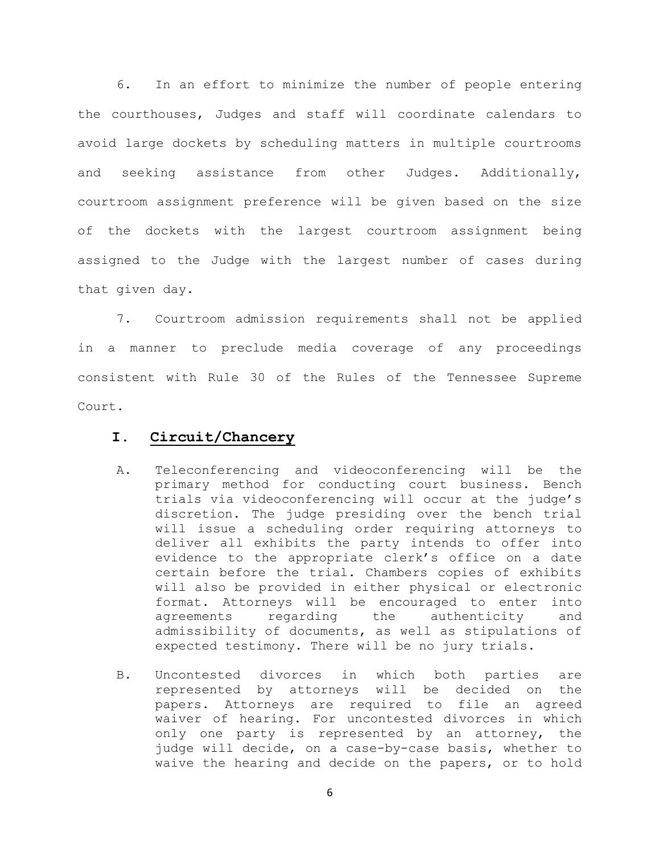6. In an effort to minimize the number of people entering the courthouses, Judges and staff will coordinate calendars to avoid large dockets by scheduling matters in multiple courtrooms and seeking assistance from other Judges. Additionally, courtroom assignment preference will be given based on the size of the dockets with the largest courtroom assignment being assigned to the Judge with the largest number of cases during that given day.

7. Courtroom admission requirements shall not be applied in a manner to preclude media coverage of any proceedings consistent with Rule 30 of the Rules of the Tennessee Supreme Court.

## **I. Circuit/Chancery**

- A. Teleconferencing and videoconferencing will be the primary method for conducting court business. Bench trials via videoconferencing will occur at the judge's discretion. The judge presiding over the bench trial will issue a scheduling order requiring attorneys to deliver all exhibits the party intends to offer into evidence to the appropriate clerk's office on a date certain before the trial. Chambers copies of exhibits will also be provided in either physical or electronic format. Attorneys will be encouraged to enter into<br>agreements regarding the authenticity and authenticity and admissibility of documents, as well as stipulations of expected testimony. There will be no jury trials.
- B. Uncontested divorces in which both parties are represented by attorneys will be decided on the papers. Attorneys are required to file an agreed waiver of hearing. For uncontested divorces in which only one party is represented by an attorney, the judge will decide, on a case-by-case basis, whether to waive the hearing and decide on the papers, or to hold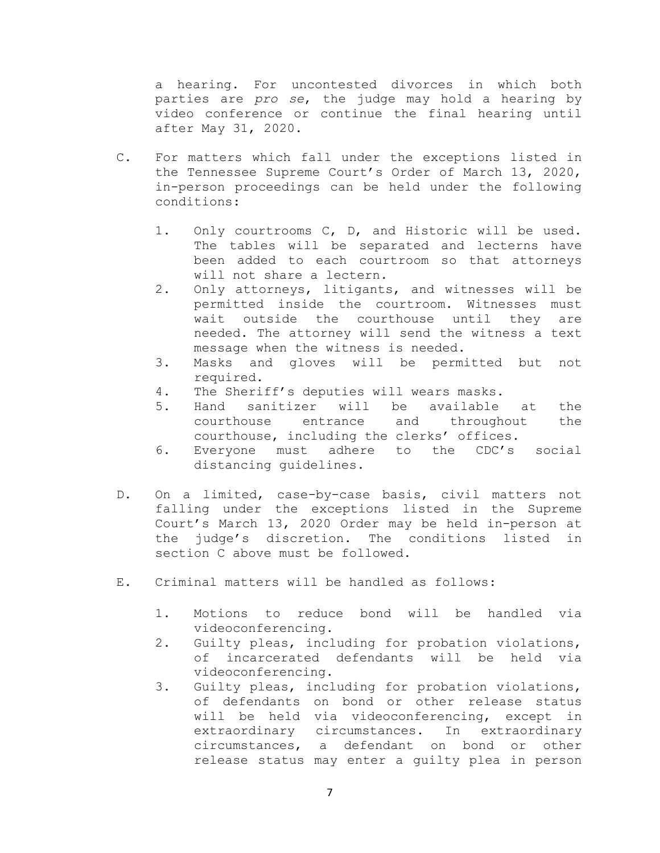a hearing. For uncontested divorces in which both parties are *pro se*, the judge may hold a hearing by video conference or continue the final hearing until after May 31, 2020.

- C. For matters which fall under the exceptions listed in the Tennessee Supreme Court's Order of March 13, 2020, in-person proceedings can be held under the following conditions:
	- 1. Only courtrooms C, D, and Historic will be used. The tables will be separated and lecterns have been added to each courtroom so that attorneys will not share a lectern.
	- 2. Only attorneys, litigants, and witnesses will be permitted inside the courtroom. Witnesses must<br>wait outside the courthouse until they are wait outside the courthouse until they needed. The attorney will send the witness a text message when the witness is needed.
	- 3. Masks and gloves will be permitted but not required.
	- 4. The Sheriff's deputies will wears masks.
	- 5. Hand sanitizer will be available at the<br>courthouse entrance and throughout the courthouse entrance courthouse, including the clerks' offices.
	- 6. Everyone must adhere to the CDC's social distancing guidelines.
- D. On a limited, case-by-case basis, civil matters not falling under the exceptions listed in the Supreme Court's March 13, 2020 Order may be held in-person at the judge's discretion. The conditions listed in section C above must be followed.
- E. Criminal matters will be handled as follows:
	- 1. Motions to reduce bond will be handled via videoconferencing.
	- 2. Guilty pleas, including for probation violations,<br>of incarcerated defendants will be held via incarcerated defendants will be held via videoconferencing.
	- 3. Guilty pleas, including for probation violations, of defendants on bond or other release status<br>will be held via videoconferencing, except in will be held via videoconferencing, except extraordinary circumstances. In extraordinary circumstances, a defendant on bond or other release status may enter a guilty plea in person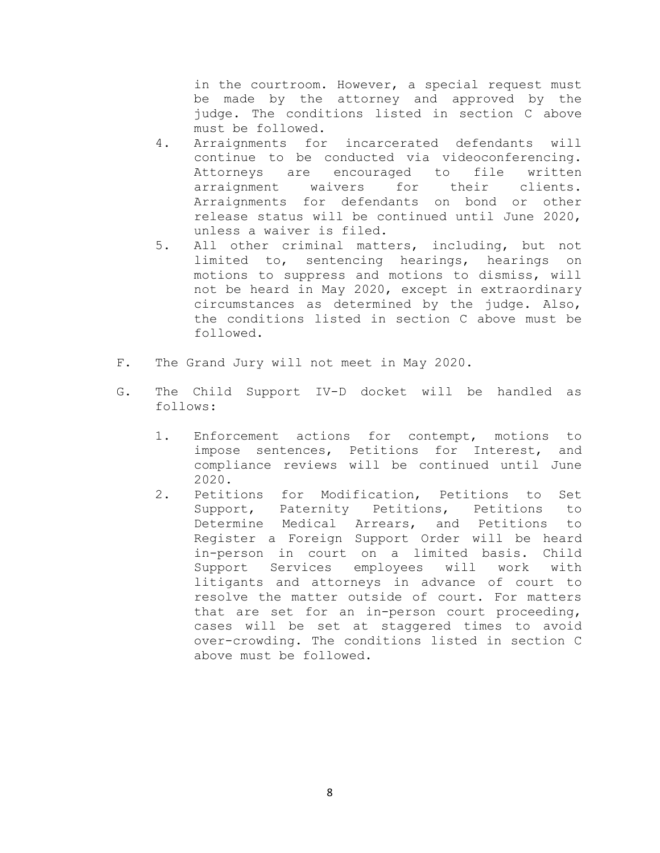in the courtroom. However, a special request must be made by the attorney and approved by the judge. The conditions listed in section C above must be followed.

- 4. Arraignments for incarcerated defendants will continue to be conducted via videoconferencing.<br>Attorneys are encouraged to file written Attorneys are encouraged to file written<br>arraignment waivers for their clients. arraignment Arraignments for defendants on bond or other release status will be continued until June 2020, unless a waiver is filed.
- 5. All other criminal matters, including, but not limited to, sentencing hearings, hearings on motions to suppress and motions to dismiss, will not be heard in May 2020, except in extraordinary circumstances as determined by the judge. Also, the conditions listed in section C above must be followed.
- F. The Grand Jury will not meet in May 2020.
- G. The Child Support IV-D docket will be handled as follows:
	- 1. Enforcement actions for contempt, motions to impose sentences, Petitions for Interest, and compliance reviews will be continued until June 2020.
	- 2. Petitions for Modification, Petitions to Set<br>Support, Paternity Petitions, Petitions to Support, Paternity Petitions, Petitions Determine Medical Arrears, and Petitions to Register a Foreign Support Order will be heard in-person in court on a limited basis. Child Support Services employees will work with litigants and attorneys in advance of court to resolve the matter outside of court. For matters that are set for an in-person court proceeding, cases will be set at staggered times to avoid over-crowding. The conditions listed in section C above must be followed.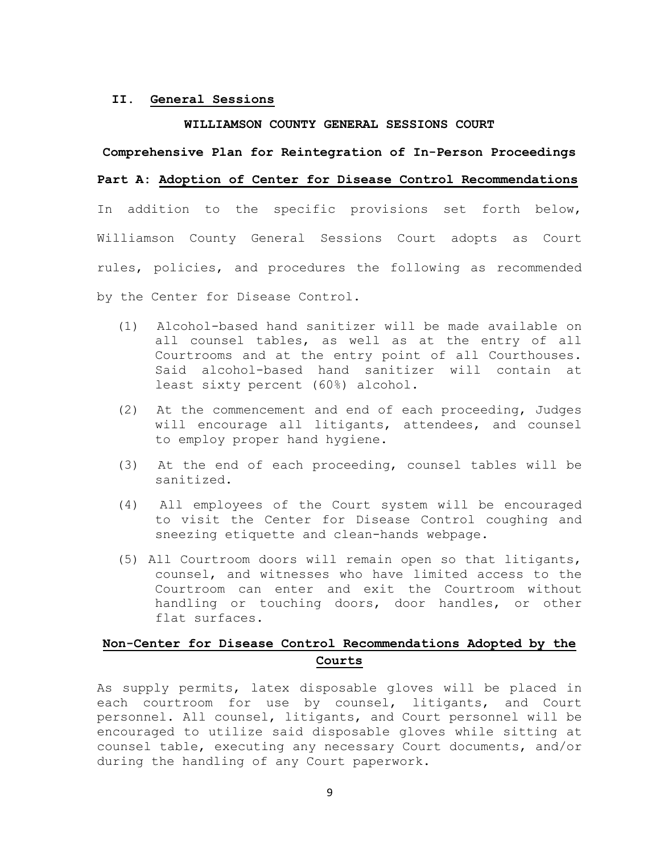## **II. General Sessions**

### **WILLIAMSON COUNTY GENERAL SESSIONS COURT**

### **Comprehensive Plan for Reintegration of In-Person Proceedings**

## **Part A: Adoption of Center for Disease Control Recommendations**

In addition to the specific provisions set forth below, Williamson County General Sessions Court adopts as Court rules, policies, and procedures the following as recommended by the Center for Disease Control.

- (1) Alcohol-based hand sanitizer will be made available on all counsel tables, as well as at the entry of all Courtrooms and at the entry point of all Courthouses. Said alcohol-based hand sanitizer will contain at least sixty percent (60%) alcohol.
- (2) At the commencement and end of each proceeding, Judges will encourage all litigants, attendees, and counsel to employ proper hand hygiene.
- (3) At the end of each proceeding, counsel tables will be sanitized.
- (4) All employees of the Court system will be encouraged to visit the Center for Disease Control coughing and sneezing etiquette and clean-hands webpage.
- (5) All Courtroom doors will remain open so that litigants, counsel, and witnesses who have limited access to the Courtroom can enter and exit the Courtroom without handling or touching doors, door handles, or other flat surfaces.

## **Non-Center for Disease Control Recommendations Adopted by the Courts**

As supply permits, latex disposable gloves will be placed in each courtroom for use by counsel, litigants, and Court personnel. All counsel, litigants, and Court personnel will be encouraged to utilize said disposable gloves while sitting at counsel table, executing any necessary Court documents, and/or during the handling of any Court paperwork.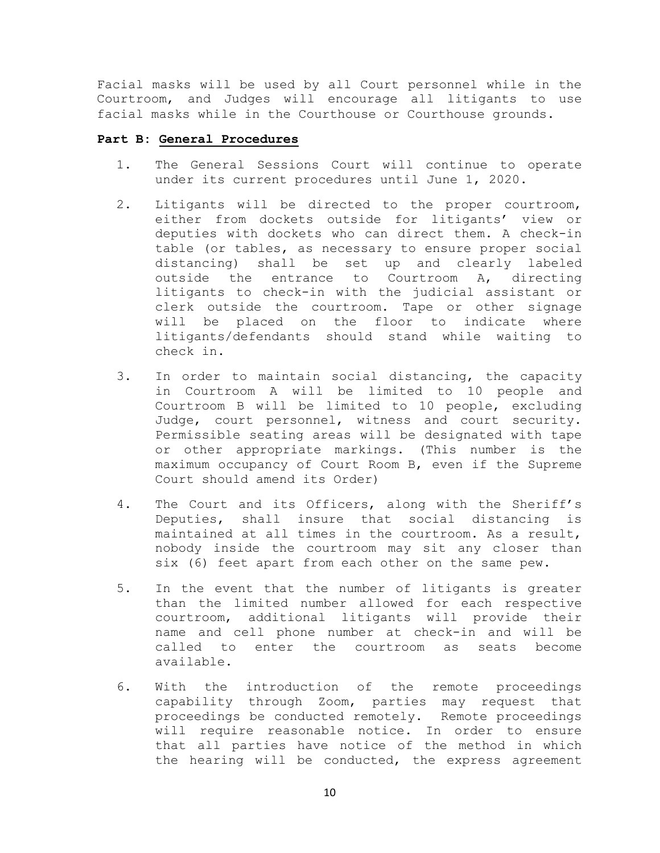Facial masks will be used by all Court personnel while in the Courtroom, and Judges will encourage all litigants to use facial masks while in the Courthouse or Courthouse grounds.

## **Part B: General Procedures**

- 1. The General Sessions Court will continue to operate under its current procedures until June 1, 2020.
- 2. Litigants will be directed to the proper courtroom, either from dockets outside for litigants' view or deputies with dockets who can direct them. A check-in table (or tables, as necessary to ensure proper social distancing) shall be set up and clearly labeled outside the entrance to Courtroom A, directing litigants to check-in with the judicial assistant or clerk outside the courtroom. Tape or other signage will be placed on the floor to indicate where litigants/defendants should stand while waiting to check in.
- 3. In order to maintain social distancing, the capacity in Courtroom A will be limited to 10 people and Courtroom B will be limited to 10 people, excluding Judge, court personnel, witness and court security. Permissible seating areas will be designated with tape or other appropriate markings. (This number is the maximum occupancy of Court Room B, even if the Supreme Court should amend its Order)
- 4. The Court and its Officers, along with the Sheriff's Deputies, shall insure that social distancing is maintained at all times in the courtroom. As a result, nobody inside the courtroom may sit any closer than six (6) feet apart from each other on the same pew.
- 5. In the event that the number of litigants is greater than the limited number allowed for each respective courtroom, additional litigants will provide their name and cell phone number at check-in and will be called to enter the courtroom as seats become available.
- 6. With the introduction of the remote proceedings capability through Zoom, parties may request that proceedings be conducted remotely. Remote proceedings will require reasonable notice. In order to ensure that all parties have notice of the method in which the hearing will be conducted, the express agreement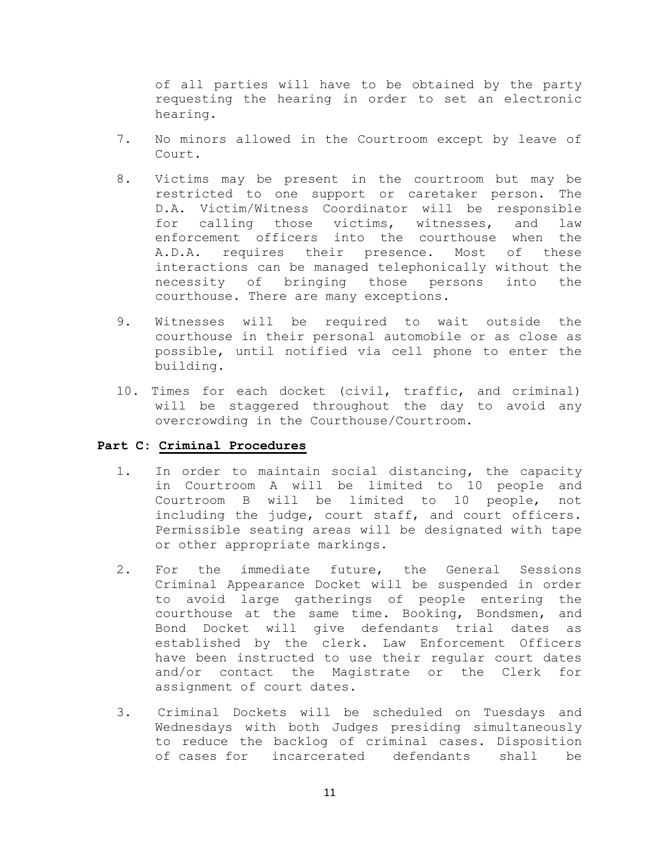of all parties will have to be obtained by the party requesting the hearing in order to set an electronic hearing.

- 7. No minors allowed in the Courtroom except by leave of Court.
- 8. Victims may be present in the courtroom but may be restricted to one support or caretaker person. The D.A. Victim/Witness Coordinator will be responsible<br>for calling those victims, witnesses, and law for calling those victims, witnesses, and law enforcement officers into the courthouse when the A.D.A. requires their presence. Most of these interactions can be managed telephonically without the necessity of bringing those persons into the courthouse. There are many exceptions.
- 9. Witnesses will be required to wait outside the courthouse in their personal automobile or as close as possible, until notified via cell phone to enter the building.
- 10. Times for each docket (civil, traffic, and criminal) will be staggered throughout the day to avoid any overcrowding in the Courthouse/Courtroom.

## **Part C: Criminal Procedures**

- 1. In order to maintain social distancing, the capacity in Courtroom A will be limited to 10 people and Courtroom B will be limited to 10 people, not including the judge, court staff, and court officers. Permissible seating areas will be designated with tape or other appropriate markings.
- 2. For the immediate future, the General Sessions Criminal Appearance Docket will be suspended in order to avoid large gatherings of people entering the courthouse at the same time. Booking, Bondsmen, and Bond Docket will give defendants trial dates as established by the clerk. Law Enforcement Officers have been instructed to use their regular court dates<br>and/or contact the Magistrate or the Clerk for and/or contact the Magistrate or the Clerk assignment of court dates.
- 3. Criminal Dockets will be scheduled on Tuesdays and Wednesdays with both Judges presiding simultaneously to reduce the backlog of criminal cases. Disposition of cases for incarcerated defendants shall be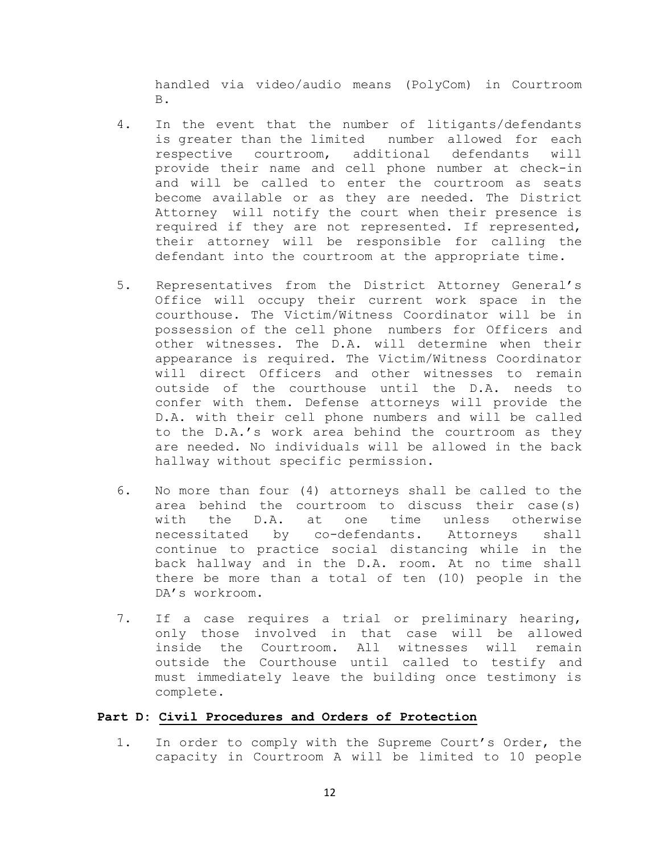handled via video/audio means (PolyCom) in Courtroom B.

- 4. In the event that the number of litigants/defendants is greater than the limited number allowed for each<br>respective courtroom, additional defendants will additional defendants will provide their name and cell phone number at check-in and will be called to enter the courtroom as seats become available or as they are needed. The District Attorney will notify the court when their presence is required if they are not represented. If represented, their attorney will be responsible for calling the defendant into the courtroom at the appropriate time.
- 5. Representatives from the District Attorney General's Office will occupy their current work space in the courthouse. The Victim/Witness Coordinator will be in possession of the cell phone numbers for Officers and other witnesses. The D.A. will determine when their appearance is required. The Victim/Witness Coordinator will direct Officers and other witnesses to remain outside of the courthouse until the D.A. needs to confer with them. Defense attorneys will provide the D.A. with their cell phone numbers and will be called to the D.A.'s work area behind the courtroom as they are needed. No individuals will be allowed in the back hallway without specific permission.
- 6. No more than four (4) attorneys shall be called to the area behind the courtroom to discuss their case(s)<br>with the D.A. at one time unless otherwise with the D.A. at one time unless otherwise<br>necessitated by co-defendants. Attorneys shall by co-defendants. continue to practice social distancing while in the back hallway and in the D.A. room. At no time shall there be more than a total of ten (10) people in the DA's workroom.
- 7. If a case requires a trial or preliminary hearing, only those involved in that case will be allowed inside the Courtroom. All witnesses will remain outside the Courthouse until called to testify and must immediately leave the building once testimony is complete.

## **Part D: Civil Procedures and Orders of Protection**

1. In order to comply with the Supreme Court's Order, the capacity in Courtroom A will be limited to 10 people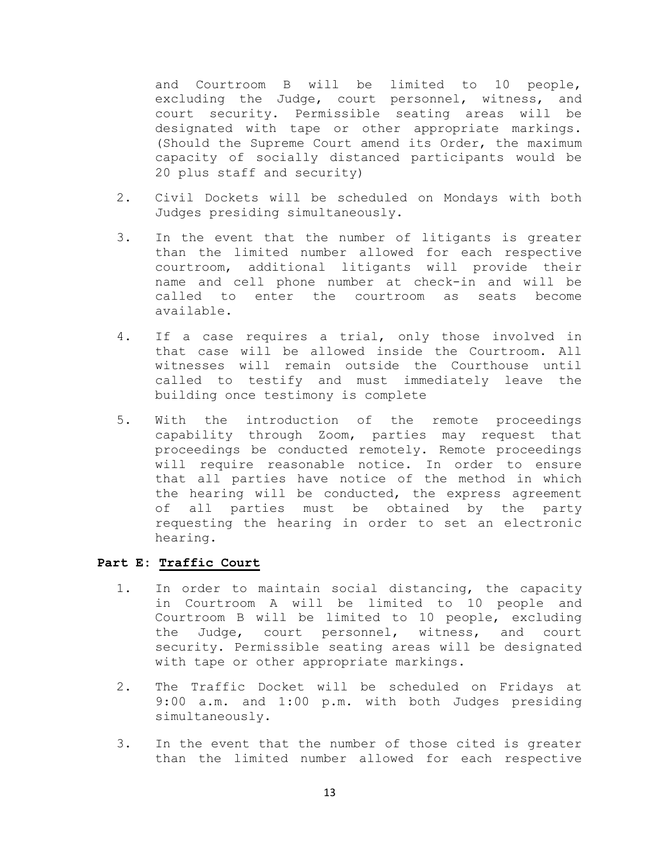and Courtroom B will be limited to 10 people, excluding the Judge, court personnel, witness, and court security. Permissible seating areas will be designated with tape or other appropriate markings. (Should the Supreme Court amend its Order, the maximum capacity of socially distanced participants would be 20 plus staff and security)

- 2. Civil Dockets will be scheduled on Mondays with both Judges presiding simultaneously.
- 3. In the event that the number of litigants is greater than the limited number allowed for each respective courtroom, additional litigants will provide their name and cell phone number at check-in and will be called to enter the courtroom as seats become available.
- 4. If a case requires a trial, only those involved in that case will be allowed inside the Courtroom. All witnesses will remain outside the Courthouse until called to testify and must immediately leave the building once testimony is complete
- 5. With the introduction of the remote proceedings capability through Zoom, parties may request that proceedings be conducted remotely. Remote proceedings will require reasonable notice. In order to ensure that all parties have notice of the method in which the hearing will be conducted, the express agreement of all parties must be obtained by the party requesting the hearing in order to set an electronic hearing.

## **Part E: Traffic Court**

- 1. In order to maintain social distancing, the capacity in Courtroom A will be limited to 10 people and Courtroom B will be limited to 10 people, excluding the Judge, court personnel, witness, and court security. Permissible seating areas will be designated with tape or other appropriate markings.
- 2. The Traffic Docket will be scheduled on Fridays at 9:00 a.m. and 1:00 p.m. with both Judges presiding simultaneously.
- 3. In the event that the number of those cited is greater than the limited number allowed for each respective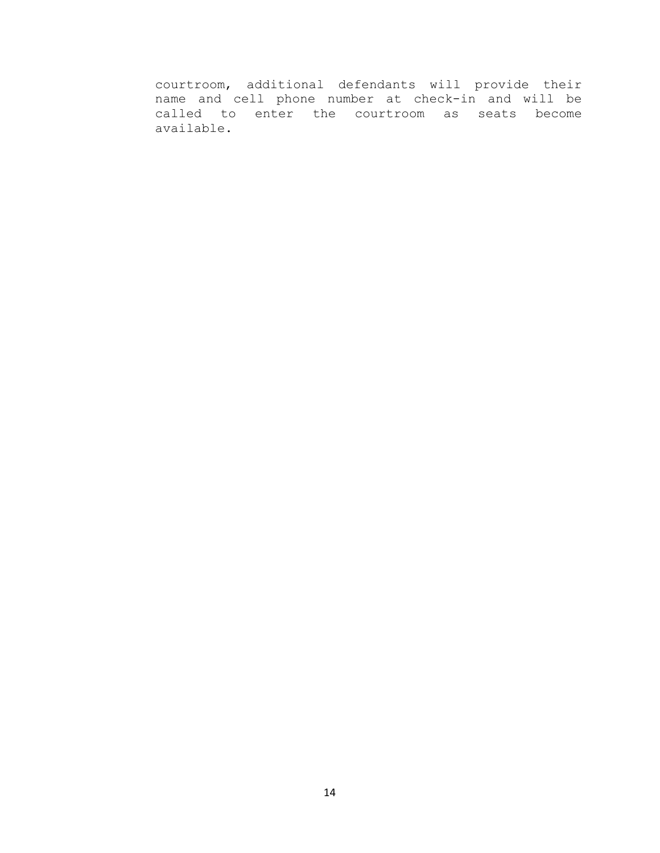courtroom, additional defendants will provide their name and cell phone number at check-in and will be called to enter the courtroom as seats become available.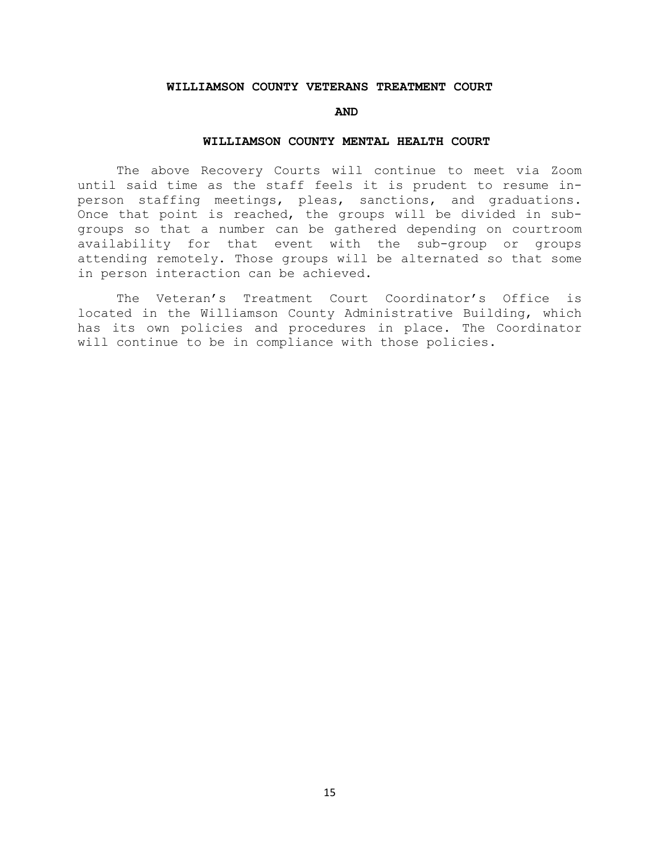#### **WILLIAMSON COUNTY VETERANS TREATMENT COURT**

#### **AND**

### **WILLIAMSON COUNTY MENTAL HEALTH COURT**

 The above Recovery Courts will continue to meet via Zoom until said time as the staff feels it is prudent to resume inperson staffing meetings, pleas, sanctions, and graduations. Once that point is reached, the groups will be divided in subgroups so that a number can be gathered depending on courtroom availability for that event with the sub-group or groups attending remotely. Those groups will be alternated so that some in person interaction can be achieved.

The Veteran's Treatment Court Coordinator's Office is located in the Williamson County Administrative Building, which has its own policies and procedures in place. The Coordinator will continue to be in compliance with those policies.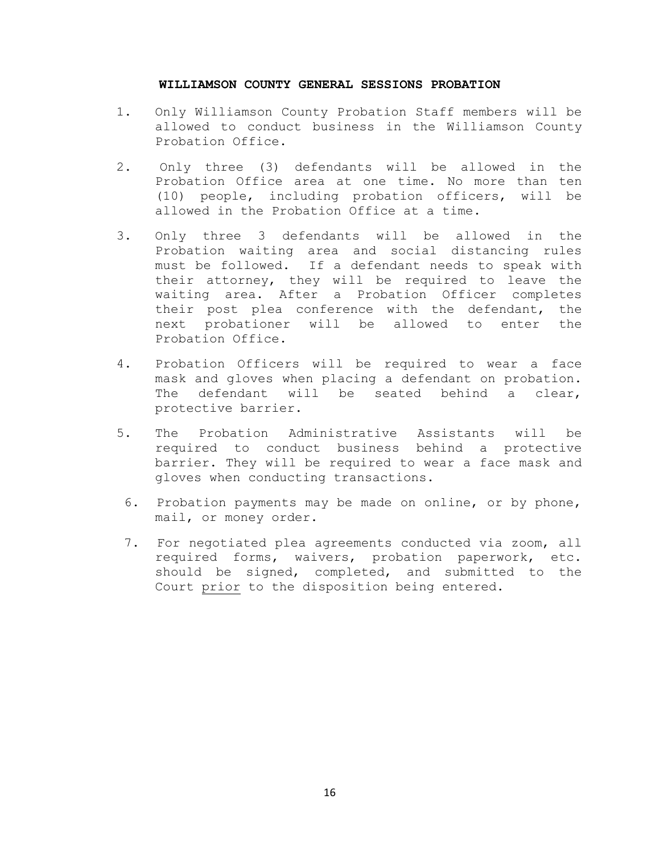## **WILLIAMSON COUNTY GENERAL SESSIONS PROBATION**

- 1. Only Williamson County Probation Staff members will be allowed to conduct business in the Williamson County Probation Office.
- 2. Only three (3) defendants will be allowed in the Probation Office area at one time. No more than ten (10) people, including probation officers, will be allowed in the Probation Office at a time.
- 3. Only three 3 defendants will be allowed in the Probation waiting area and social distancing rules must be followed. If a defendant needs to speak with their attorney, they will be required to leave the waiting area. After a Probation Officer completes their post plea conference with the defendant, the next probationer will be allowed to enter the Probation Office.
- 4. Probation Officers will be required to wear a face mask and gloves when placing a defendant on probation. The defendant will be seated behind a clear, protective barrier.
- 5. The Probation Administrative Assistants will be required to conduct business behind a protective barrier. They will be required to wear a face mask and gloves when conducting transactions.
- 6. Probation payments may be made on online, or by phone, mail, or money order.
- 7. For negotiated plea agreements conducted via zoom, all required forms, waivers, probation paperwork, etc. should be signed, completed, and submitted to the Court prior to the disposition being entered.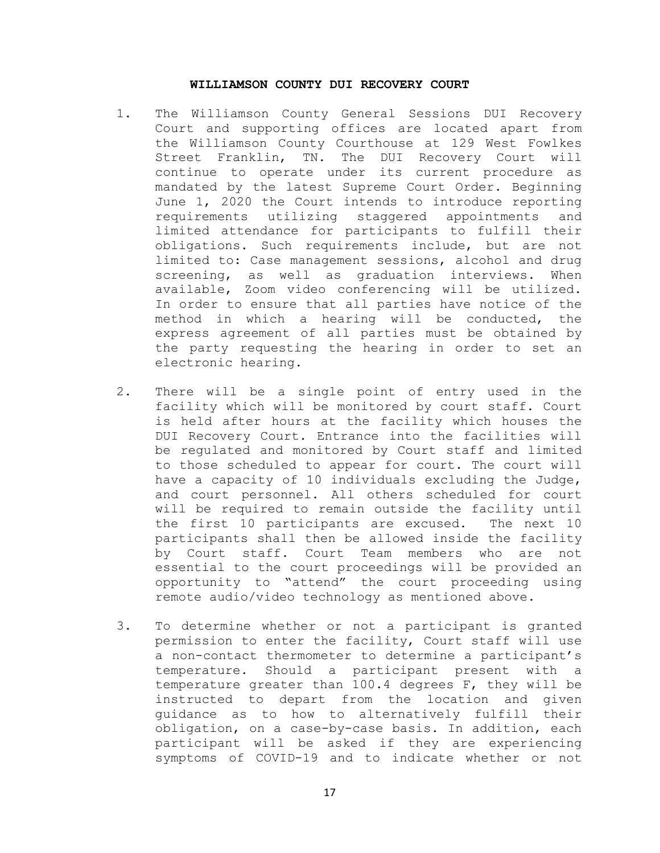## **WILLIAMSON COUNTY DUI RECOVERY COURT**

- 1. The Williamson County General Sessions DUI Recovery Court and supporting offices are located apart from the Williamson County Courthouse at 129 West Fowlkes Street Franklin, TN. The DUI Recovery Court will continue to operate under its current procedure as mandated by the latest Supreme Court Order. Beginning June 1, 2020 the Court intends to introduce reporting requirements utilizing staggered appointments and limited attendance for participants to fulfill their obligations. Such requirements include, but are not limited to: Case management sessions, alcohol and drug screening, as well as graduation interviews. When available, Zoom video conferencing will be utilized. In order to ensure that all parties have notice of the method in which a hearing will be conducted, the express agreement of all parties must be obtained by the party requesting the hearing in order to set an electronic hearing.
- 2. There will be a single point of entry used in the facility which will be monitored by court staff. Court is held after hours at the facility which houses the DUI Recovery Court. Entrance into the facilities will be regulated and monitored by Court staff and limited to those scheduled to appear for court. The court will have a capacity of 10 individuals excluding the Judge, and court personnel. All others scheduled for court will be required to remain outside the facility until the first 10 participants are excused. The next 10 participants shall then be allowed inside the facility by Court staff. Court Team members who are not essential to the court proceedings will be provided an opportunity to "attend" the court proceeding using remote audio/video technology as mentioned above.
- 3. To determine whether or not a participant is granted permission to enter the facility, Court staff will use a non-contact thermometer to determine a participant's temperature. Should a participant present with a temperature greater than 100.4 degrees F, they will be instructed to depart from the location and given guidance as to how to alternatively fulfill their obligation, on a case-by-case basis. In addition, each participant will be asked if they are experiencing symptoms of COVID-19 and to indicate whether or not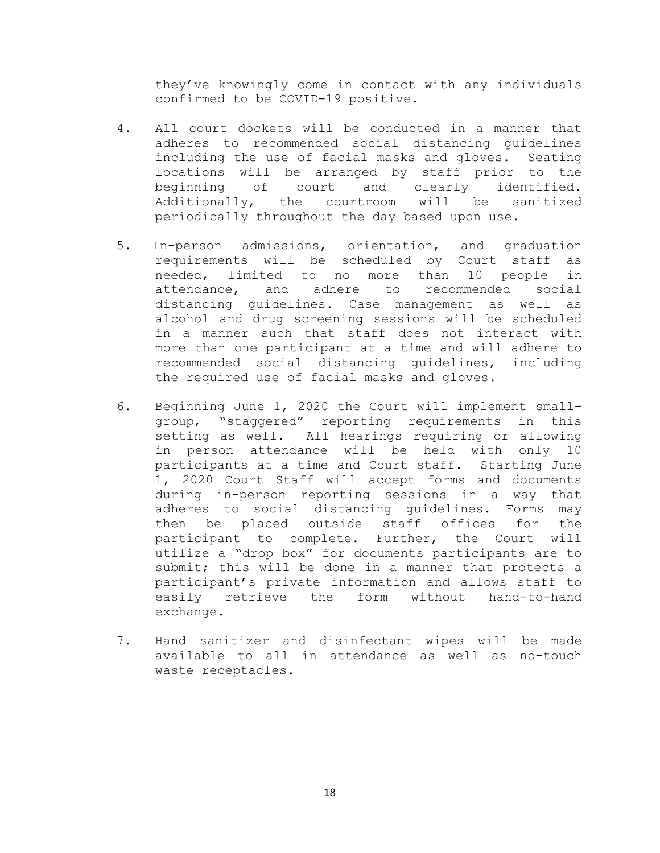they've knowingly come in contact with any individuals confirmed to be COVID-19 positive.

- 4. All court dockets will be conducted in a manner that adheres to recommended social distancing guidelines including the use of facial masks and gloves. Seating locations will be arranged by staff prior to the<br>beginning of court and clearly identified. and clearly identified. Additionally, the courtroom will be sanitized periodically throughout the day based upon use.
- 5. In-person admissions, orientation, and graduation requirements will be scheduled by Court staff as needed, limited to no more than 10 people in<br>attendance, and adhere to recommended social and adhere to recommended social distancing guidelines. Case management as well as alcohol and drug screening sessions will be scheduled in a manner such that staff does not interact with more than one participant at a time and will adhere to recommended social distancing guidelines, including the required use of facial masks and gloves.
- 6. Beginning June 1, 2020 the Court will implement smallgroup, "staggered" reporting requirements in this setting as well. All hearings requiring or allowing<br>in person attendance will be held with only 10 in person attendance will be held with only participants at a time and Court staff. Starting June 1, 2020 Court Staff will accept forms and documents during in-person reporting sessions in a way that adheres to social distancing guidelines. Forms may then be placed outside staff offices for the participant to complete. Further, the Court will utilize a "drop box" for documents participants are to submit; this will be done in a manner that protects a participant's private information and allows staff to easily retrieve the form without hand-to-hand exchange.
- 7. Hand sanitizer and disinfectant wipes will be made available to all in attendance as well as no-touch waste receptacles.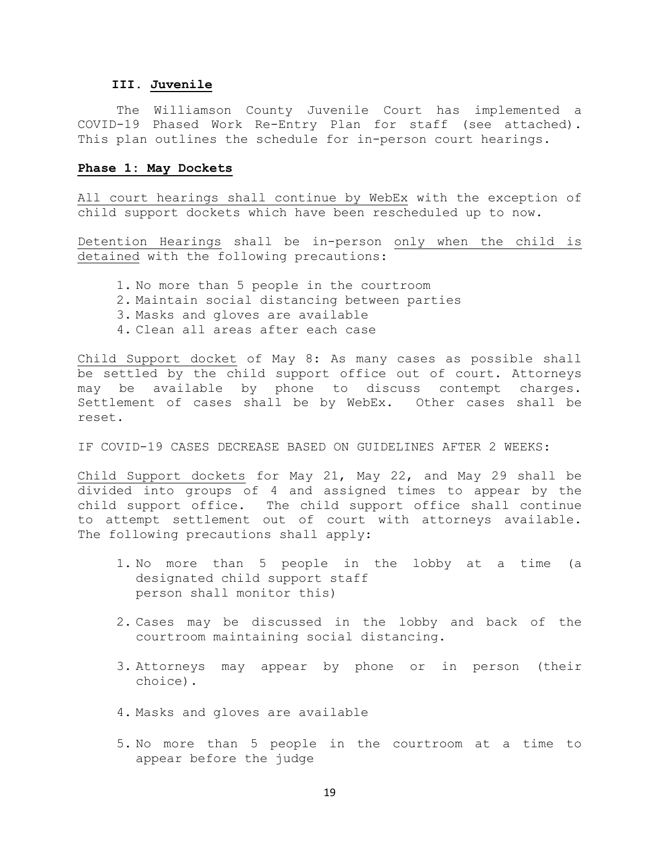### **III. Juvenile**

The Williamson County Juvenile Court has implemented a COVID-19 Phased Work Re-Entry Plan for staff (see attached). This plan outlines the schedule for in-person court hearings.

## **Phase 1: May Dockets**

All court hearings shall continue by WebEx with the exception of child support dockets which have been rescheduled up to now.

Detention Hearings shall be in-person only when the child is detained with the following precautions:

- 1. No more than 5 people in the courtroom
- 2. Maintain social distancing between parties
- 3. Masks and gloves are available
- 4. Clean all areas after each case

Child Support docket of May 8: As many cases as possible shall be settled by the child support office out of court. Attorneys may be available by phone to discuss contempt charges. Settlement of cases shall be by WebEx. Other cases shall be reset.

IF COVID-19 CASES DECREASE BASED ON GUIDELINES AFTER 2 WEEKS:

Child Support dockets for May 21, May 22, and May 29 shall be divided into groups of 4 and assigned times to appear by the child support office. The child support office shall continue to attempt settlement out of court with attorneys available. The following precautions shall apply:

- 1. No more than 5 people in the lobby at a time (a designated child support staff person shall monitor this)
- 2. Cases may be discussed in the lobby and back of the courtroom maintaining social distancing.
- 3. Attorneys may appear by phone or in person (their choice).
- 4. Masks and gloves are available
- 5. No more than 5 people in the courtroom at a time to appear before the judge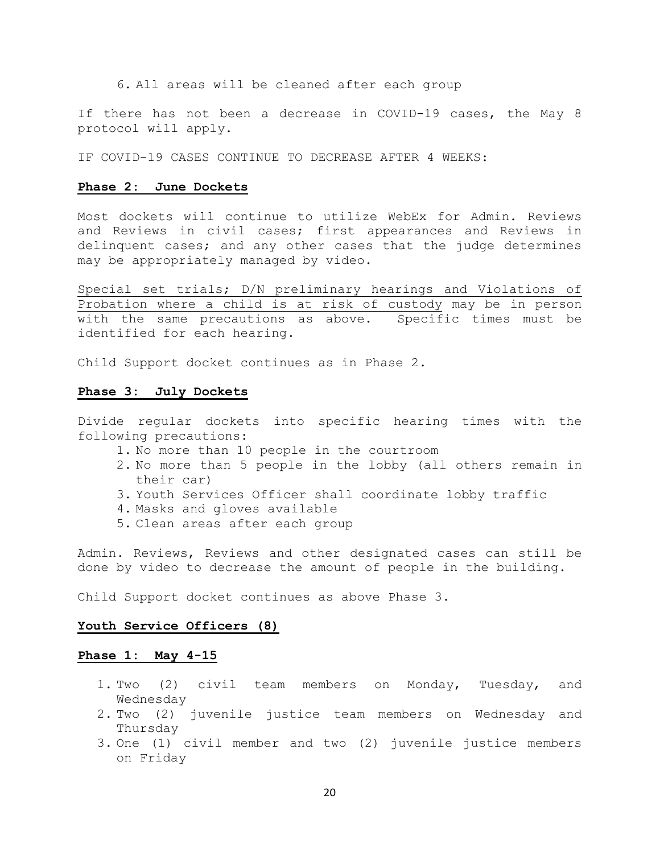6. All areas will be cleaned after each group

If there has not been a decrease in COVID-19 cases, the May 8 protocol will apply.

IF COVID-19 CASES CONTINUE TO DECREASE AFTER 4 WEEKS:

#### **Phase 2: June Dockets**

Most dockets will continue to utilize WebEx for Admin. Reviews and Reviews in civil cases; first appearances and Reviews in delinquent cases; and any other cases that the judge determines may be appropriately managed by video.

Special set trials; D/N preliminary hearings and Violations of Probation where a child is at risk of custody may be in person with the same precautions as above. Specific times must be identified for each hearing.

Child Support docket continues as in Phase 2.

#### **Phase 3: July Dockets**

Divide regular dockets into specific hearing times with the following precautions:

- 1. No more than 10 people in the courtroom
- 2. No more than 5 people in the lobby (all others remain in their car)
- 3. Youth Services Officer shall coordinate lobby traffic
- 4. Masks and gloves available
- 5. Clean areas after each group

Admin. Reviews, Reviews and other designated cases can still be done by video to decrease the amount of people in the building.

Child Support docket continues as above Phase 3.

#### **Youth Service Officers (8)**

### **Phase 1: May 4-15**

- 1. Two (2) civil team members on Monday, Tuesday, and Wednesday
- 2. Two (2) juvenile justice team members on Wednesday and Thursday
- 3. One (1) civil member and two (2) juvenile justice members on Friday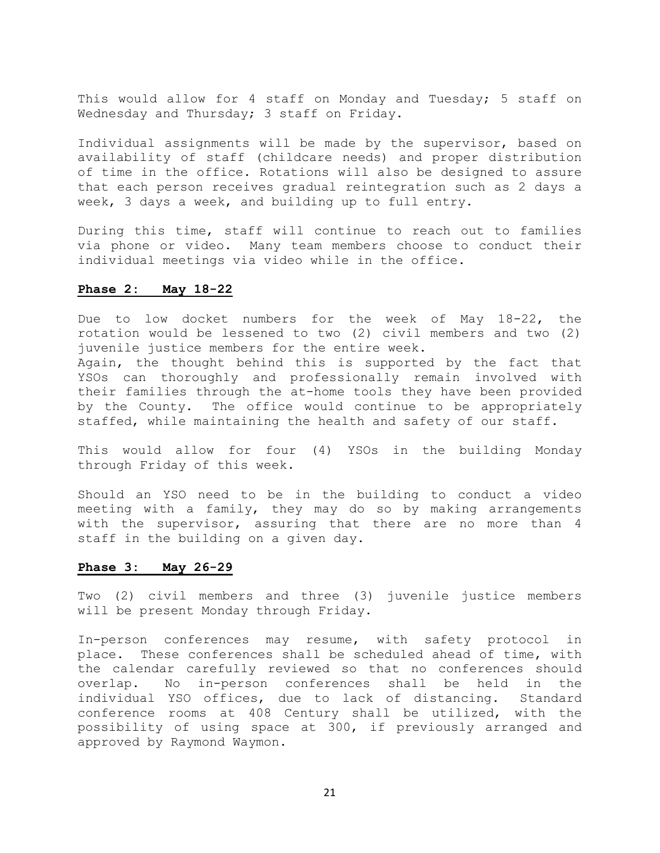This would allow for 4 staff on Monday and Tuesday; 5 staff on Wednesday and Thursday; 3 staff on Friday.

Individual assignments will be made by the supervisor, based on availability of staff (childcare needs) and proper distribution of time in the office. Rotations will also be designed to assure that each person receives gradual reintegration such as 2 days a week, 3 days a week, and building up to full entry.

During this time, staff will continue to reach out to families via phone or video. Many team members choose to conduct their individual meetings via video while in the office.

### **Phase 2: May 18-22**

Due to low docket numbers for the week of May 18-22, the rotation would be lessened to two (2) civil members and two (2) juvenile justice members for the entire week.

Again, the thought behind this is supported by the fact that YSOs can thoroughly and professionally remain involved with their families through the at-home tools they have been provided by the County. The office would continue to be appropriately staffed, while maintaining the health and safety of our staff.

This would allow for four (4) YSOs in the building Monday through Friday of this week.

Should an YSO need to be in the building to conduct a video meeting with a family, they may do so by making arrangements with the supervisor, assuring that there are no more than 4 staff in the building on a given day.

## **Phase 3: May 26-29**

Two (2) civil members and three (3) juvenile justice members will be present Monday through Friday.

In-person conferences may resume, with safety protocol in place. These conferences shall be scheduled ahead of time, with the calendar carefully reviewed so that no conferences should<br>overlap. No in-person conferences shall be held in the overlap. No in-person conferences shall be held in the<br>individual YSO offices, due to lack of distancing. Standard individual YSO offices, due to lack of distancing. conference rooms at 408 Century shall be utilized, with the possibility of using space at 300, if previously arranged and approved by Raymond Waymon.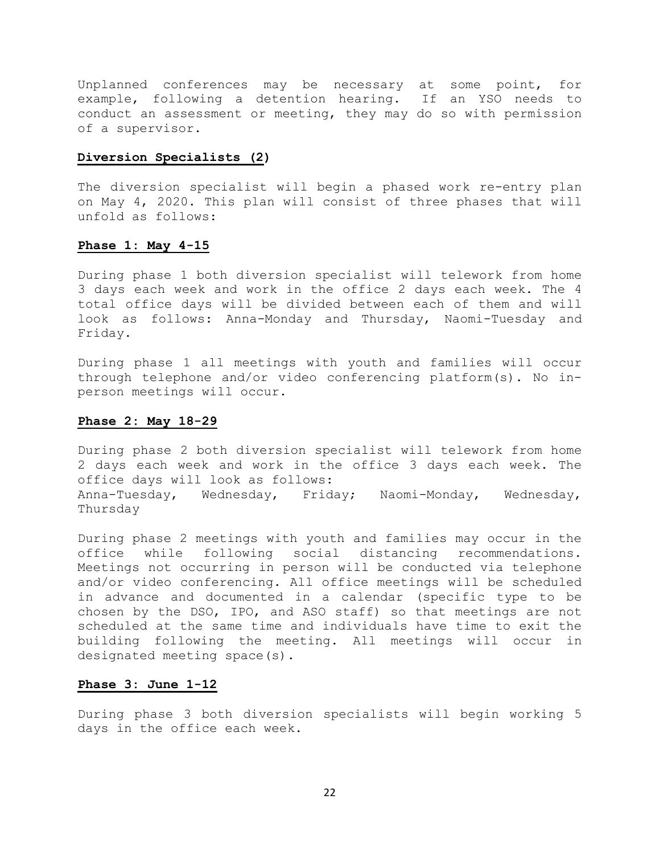Unplanned conferences may be necessary at some point, for example, following a detention hearing. If an YSO needs to conduct an assessment or meeting, they may do so with permission of a supervisor.

## **Diversion Specialists (2)**

The diversion specialist will begin a phased work re-entry plan on May 4, 2020. This plan will consist of three phases that will unfold as follows:

### **Phase 1: May 4-15**

During phase 1 both diversion specialist will telework from home 3 days each week and work in the office 2 days each week. The 4 total office days will be divided between each of them and will look as follows: Anna-Monday and Thursday, Naomi-Tuesday and Friday.

During phase 1 all meetings with youth and families will occur through telephone and/or video conferencing platform(s). No inperson meetings will occur.

## **Phase 2: May 18-29**

During phase 2 both diversion specialist will telework from home 2 days each week and work in the office 3 days each week. The office days will look as follows: Anna-Tuesday, Wednesday, Friday; Naomi-Monday, Wednesday, Thursday

During phase 2 meetings with youth and families may occur in the<br>office while following social distancing recommendations. following social distancing recommendations. Meetings not occurring in person will be conducted via telephone and/or video conferencing. All office meetings will be scheduled in advance and documented in a calendar (specific type to be chosen by the DSO, IPO, and ASO staff) so that meetings are not scheduled at the same time and individuals have time to exit the building following the meeting. All meetings will occur in designated meeting space(s).

#### **Phase 3: June 1-12**

During phase 3 both diversion specialists will begin working 5 days in the office each week.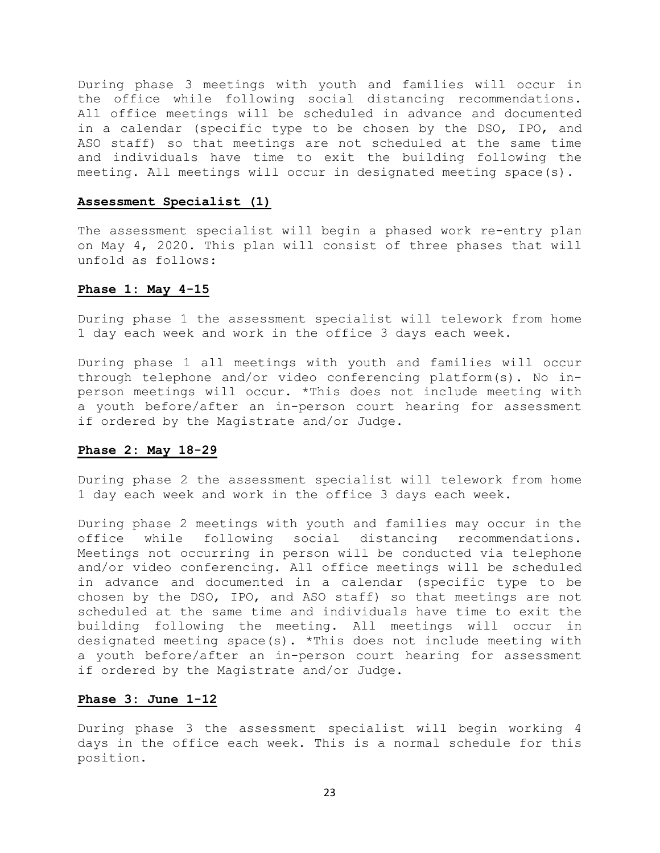During phase 3 meetings with youth and families will occur in the office while following social distancing recommendations. All office meetings will be scheduled in advance and documented in a calendar (specific type to be chosen by the DSO, IPO, and ASO staff) so that meetings are not scheduled at the same time and individuals have time to exit the building following the meeting. All meetings will occur in designated meeting space(s).

## **Assessment Specialist (1)**

The assessment specialist will begin a phased work re-entry plan on May 4, 2020. This plan will consist of three phases that will unfold as follows:

## **Phase 1: May 4-15**

During phase 1 the assessment specialist will telework from home 1 day each week and work in the office 3 days each week.

During phase 1 all meetings with youth and families will occur through telephone and/or video conferencing platform(s). No inperson meetings will occur. \*This does not include meeting with a youth before/after an in-person court hearing for assessment if ordered by the Magistrate and/or Judge.

## **Phase 2: May 18-29**

During phase 2 the assessment specialist will telework from home 1 day each week and work in the office 3 days each week.

During phase 2 meetings with youth and families may occur in the<br>office while following social distancing recommendations. distancing recommendations. Meetings not occurring in person will be conducted via telephone and/or video conferencing. All office meetings will be scheduled in advance and documented in a calendar (specific type to be chosen by the DSO, IPO, and ASO staff) so that meetings are not scheduled at the same time and individuals have time to exit the building following the meeting. All meetings will occur in designated meeting space(s). \*This does not include meeting with a youth before/after an in-person court hearing for assessment if ordered by the Magistrate and/or Judge.

## **Phase 3: June 1-12**

During phase 3 the assessment specialist will begin working 4 days in the office each week. This is a normal schedule for this position.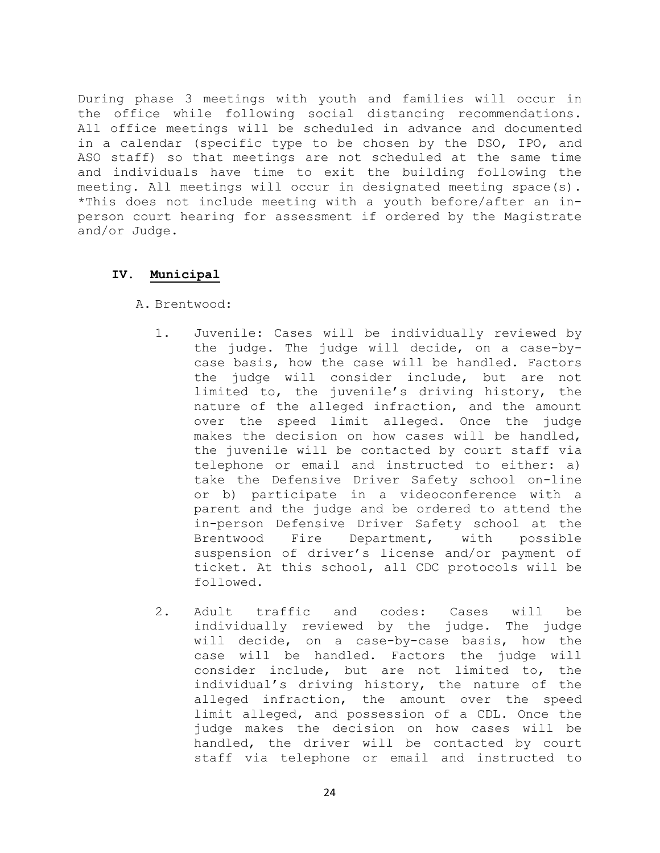During phase 3 meetings with youth and families will occur in the office while following social distancing recommendations. All office meetings will be scheduled in advance and documented in a calendar (specific type to be chosen by the DSO, IPO, and ASO staff) so that meetings are not scheduled at the same time and individuals have time to exit the building following the meeting. All meetings will occur in designated meeting space(s). \*This does not include meeting with a youth before/after an inperson court hearing for assessment if ordered by the Magistrate and/or Judge.

## **IV. Municipal**

A. Brentwood:

- 1. Juvenile: Cases will be individually reviewed by the judge. The judge will decide, on a case-bycase basis, how the case will be handled. Factors the judge will consider include, but are not limited to, the juvenile's driving history, the nature of the alleged infraction, and the amount over the speed limit alleged. Once the judge makes the decision on how cases will be handled, the juvenile will be contacted by court staff via telephone or email and instructed to either: a) take the Defensive Driver Safety school on-line or b) participate in a videoconference with a parent and the judge and be ordered to attend the in-person Defensive Driver Safety school at the<br>Brentwood Fire Department, with possible Department, suspension of driver's license and/or payment of ticket. At this school, all CDC protocols will be followed.
- 2. Adult traffic and codes: Cases will be individually reviewed by the judge. The judge will decide, on a case-by-case basis, how the case will be handled. Factors the judge will consider include, but are not limited to, the individual's driving history, the nature of the alleged infraction, the amount over the speed limit alleged, and possession of a CDL. Once the judge makes the decision on how cases will be handled, the driver will be contacted by court staff via telephone or email and instructed to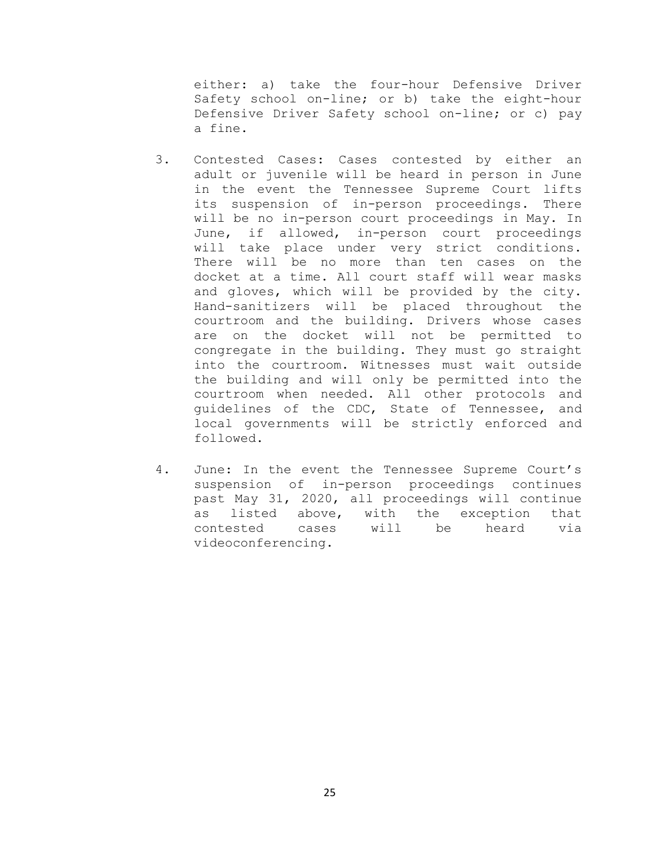either: a) take the four-hour Defensive Driver Safety school on-line; or b) take the eight-hour Defensive Driver Safety school on-line; or c) pay a fine.

- 3. Contested Cases: Cases contested by either an adult or juvenile will be heard in person in June in the event the Tennessee Supreme Court lifts its suspension of in-person proceedings. There will be no in-person court proceedings in May. In June, if allowed, in-person court proceedings will take place under very strict conditions. There will be no more than ten cases on the docket at a time. All court staff will wear masks and gloves, which will be provided by the city. Hand-sanitizers will be placed throughout the courtroom and the building. Drivers whose cases are on the docket will not be permitted to congregate in the building. They must go straight into the courtroom. Witnesses must wait outside the building and will only be permitted into the courtroom when needed. All other protocols and guidelines of the CDC, State of Tennessee, and local governments will be strictly enforced and followed.
- 4. June: In the event the Tennessee Supreme Court's suspension of in-person proceedings continues past May 31, 2020, all proceedings will continue as listed above, with the exception that<br>contested cases will be heard via will be videoconferencing.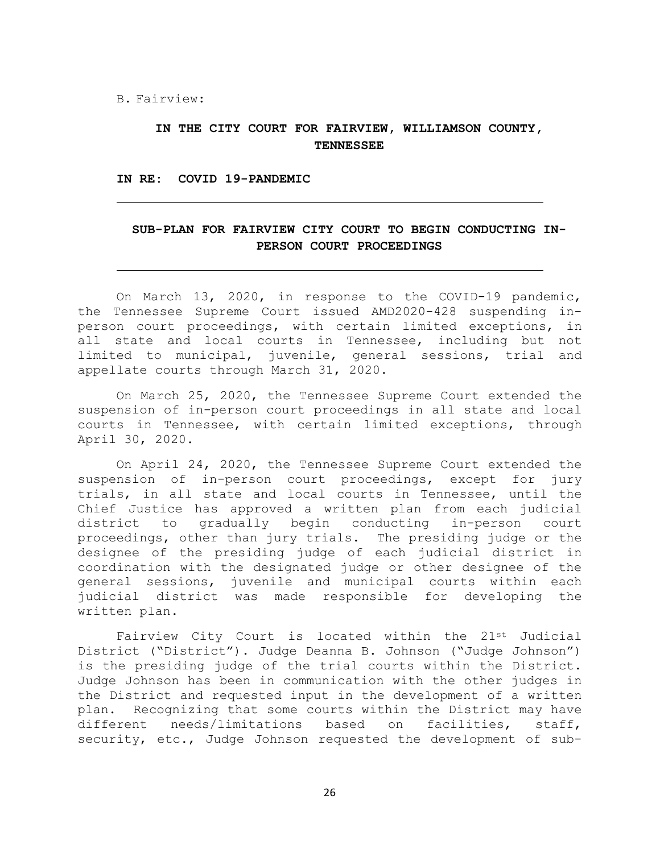B. Fairview:

## **IN THE CITY COURT FOR FAIRVIEW, WILLIAMSON COUNTY, TENNESSEE**

**IN RE: COVID 19-PANDEMIC**

## **SUB-PLAN FOR FAIRVIEW CITY COURT TO BEGIN CONDUCTING IN-PERSON COURT PROCEEDINGS**

On March 13, 2020, in response to the COVID-19 pandemic, the Tennessee Supreme Court issued AMD2020-428 suspending in-<br>person court proceedings, with certain limited exceptions, in person court proceedings, with certain limited exceptions, all state and local courts in Tennessee, including but not limited to municipal, juvenile, general sessions, trial and appellate courts through March 31, 2020.

On March 25, 2020, the Tennessee Supreme Court extended the suspension of in-person court proceedings in all state and local courts in Tennessee, with certain limited exceptions, through April 30, 2020.

On April 24, 2020, the Tennessee Supreme Court extended the suspension of in-person court proceedings, except for jury trials, in all state and local courts in Tennessee, until the Chief Justice has approved a written plan from each judicial to gradually begin conducting in-person court proceedings, other than jury trials. The presiding judge or the designee of the presiding judge of each judicial district in coordination with the designated judge or other designee of the general sessions, juvenile and municipal courts within each judicial district was made responsible for developing the written plan.

Fairview City Court is located within the 21st Judicial District ("District"). Judge Deanna B. Johnson ("Judge Johnson") is the presiding judge of the trial courts within the District. Judge Johnson has been in communication with the other judges in the District and requested input in the development of a written plan. Recognizing that some courts within the District may have<br>different needs/limitations based on facilities, staff, different needs/limitations based on security, etc., Judge Johnson requested the development of sub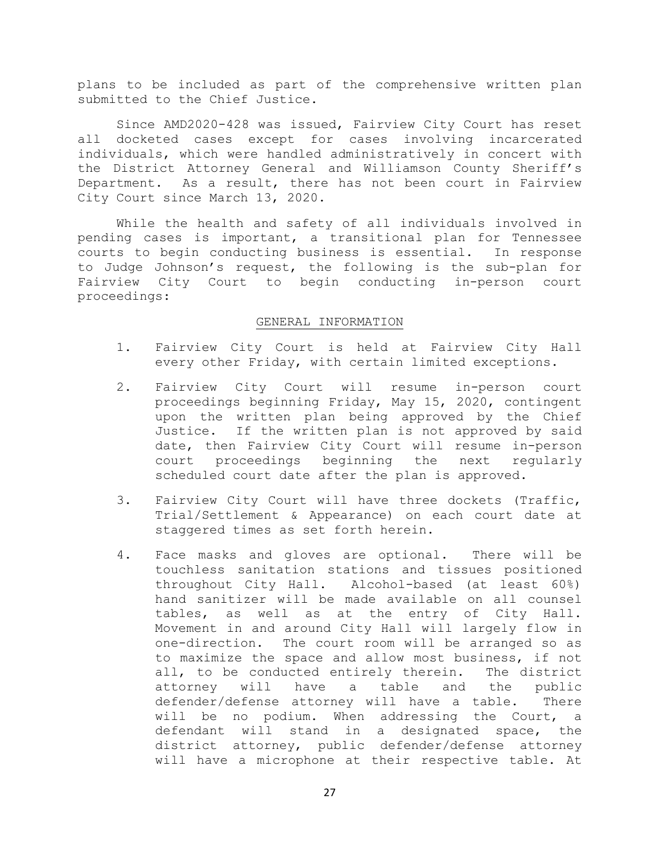plans to be included as part of the comprehensive written plan submitted to the Chief Justice.

Since AMD2020-428 was issued, Fairview City Court has reset all docketed cases except for cases involving incarcerated individuals, which were handled administratively in concert with the District Attorney General and Williamson County Sheriff's Department. As a result, there has not been court in Fairview City Court since March 13, 2020.

While the health and safety of all individuals involved in pending cases is important, a transitional plan for Tennessee courts to begin conducting business is essential. In response to Judge Johnson's request, the following is the sub-plan for Fairview City Court to begin conducting in-person court proceedings:

#### GENERAL INFORMATION

- 1. Fairview City Court is held at Fairview City Hall every other Friday, with certain limited exceptions.
- 2. Fairview City Court will resume in-person court proceedings beginning Friday, May 15, 2020, contingent upon the written plan being approved by the Chief Justice. If the written plan is not approved by said date, then Fairview City Court will resume in-person court proceedings beginning the next regularly scheduled court date after the plan is approved.
- 3. Fairview City Court will have three dockets (Traffic, Trial/Settlement & Appearance) on each court date at staggered times as set forth herein.
- 4. Face masks and gloves are optional. There will be touchless sanitation stations and tissues positioned throughout City Hall. Alcohol-based (at least 60%) hand sanitizer will be made available on all counsel tables, as well as at the entry of City Hall. Movement in and around City Hall will largely flow in one-direction. The court room will be arranged so as to maximize the space and allow most business, if not all, to be conducted entirely therein. The district<br>attorney will have a table and the public will have defender/defense attorney will have a table. There<br>will be no podium. When addressing the Court, a be no podium. When addressing the Court, a defendant will stand in a designated space, the district attorney, public defender/defense attorney will have a microphone at their respective table. At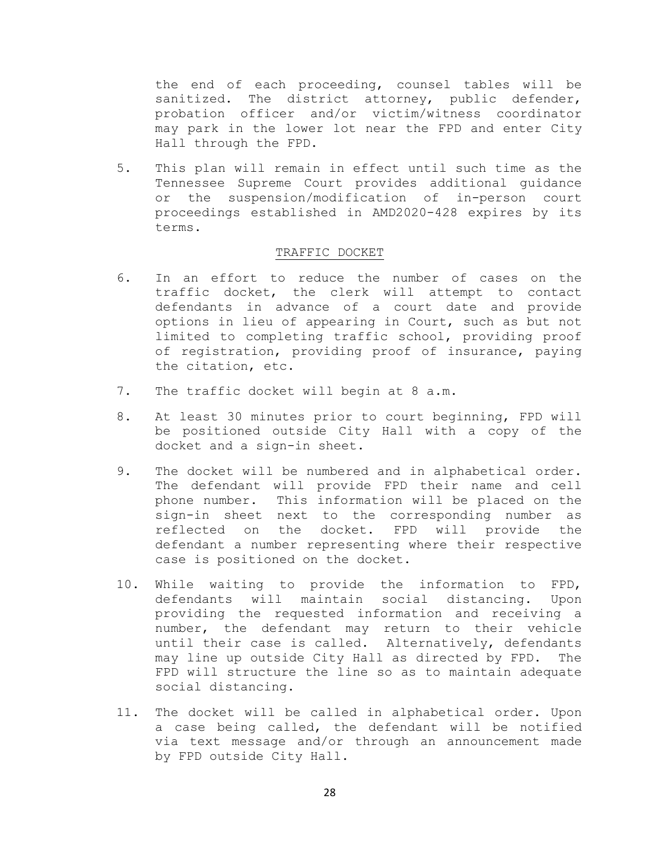the end of each proceeding, counsel tables will be sanitized. The district attorney, public defender, probation officer and/or victim/witness coordinator may park in the lower lot near the FPD and enter City Hall through the FPD.

5. This plan will remain in effect until such time as the Tennessee Supreme Court provides additional guidance or the suspension/modification of in-person court proceedings established in AMD2020-428 expires by its terms.

## TRAFFIC DOCKET

- 6. In an effort to reduce the number of cases on the traffic docket, the clerk will attempt to contact defendants in advance of a court date and provide options in lieu of appearing in Court, such as but not limited to completing traffic school, providing proof of registration, providing proof of insurance, paying the citation, etc.
- 7. The traffic docket will begin at 8 a.m.
- 8. At least 30 minutes prior to court beginning, FPD will be positioned outside City Hall with a copy of the docket and a sign-in sheet.
- 9. The docket will be numbered and in alphabetical order. The defendant will provide FPD their name and cell phone number. This information will be placed on the sign-in sheet next to the corresponding number as<br>reflected on the docket. FPD will provide the FPD will provide the defendant a number representing where their respective case is positioned on the docket.
- 10. While waiting to provide the information to FPD,<br>defendants will maintain social distancing. Upon defendants will maintain social distancing. providing the requested information and receiving a number, the defendant may return to their vehicle until their case is called. Alternatively, defendants may line up outside City Hall as directed by FPD. The FPD will structure the line so as to maintain adequate social distancing.
- 11. The docket will be called in alphabetical order. Upon a case being called, the defendant will be notified via text message and/or through an announcement made by FPD outside City Hall.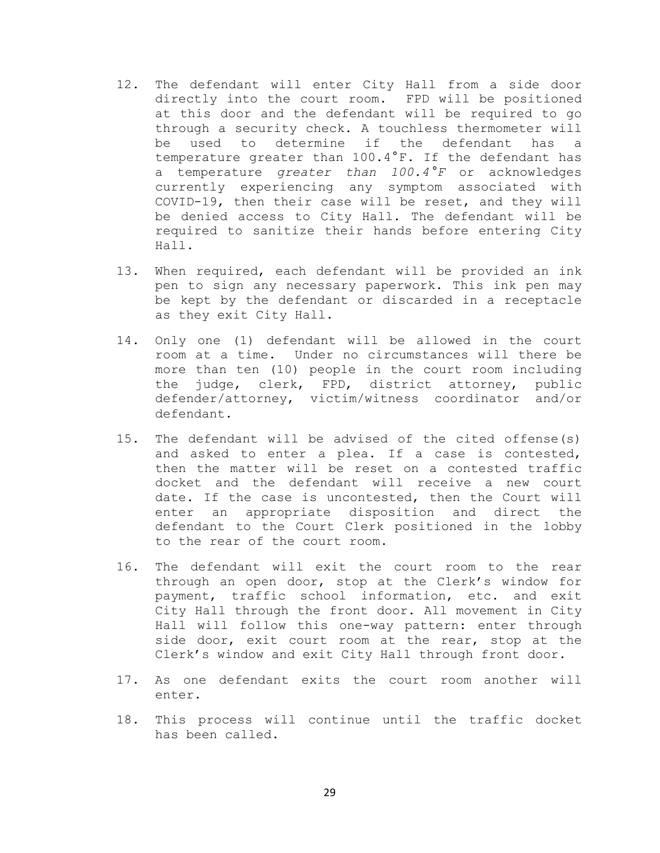- 12. The defendant will enter City Hall from a side door directly into the court room. FPD will be positioned at this door and the defendant will be required to go through a security check. A touchless thermometer will<br>be used to determine if the defendant has a used to determine if the defendant has temperature greater than 100.4°F. If the defendant has a temperature *greater than 100.4°F* or acknowledges currently experiencing any symptom associated with COVID-19, then their case will be reset, and they will be denied access to City Hall. The defendant will be required to sanitize their hands before entering City Hall.
- 13. When required, each defendant will be provided an ink pen to sign any necessary paperwork. This ink pen may be kept by the defendant or discarded in a receptacle as they exit City Hall.
- 14. Only one (1) defendant will be allowed in the court room at a time. Under no circumstances will there be more than ten (10) people in the court room including the judge, clerk, FPD, district attorney, public defender/attorney, victim/witness coordinator and/or defendant.
- 15. The defendant will be advised of the cited offense(s) and asked to enter a plea. If a case is contested, then the matter will be reset on a contested traffic docket and the defendant will receive a new court date. If the case is uncontested, then the Court will enter an appropriate disposition and direct the defendant to the Court Clerk positioned in the lobby to the rear of the court room.
- 16. The defendant will exit the court room to the rear through an open door, stop at the Clerk's window for payment, traffic school information, etc. and exit City Hall through the front door. All movement in City Hall will follow this one-way pattern: enter through side door, exit court room at the rear, stop at the Clerk's window and exit City Hall through front door.
- 17. As one defendant exits the court room another will enter.
- 18. This process will continue until the traffic docket has been called.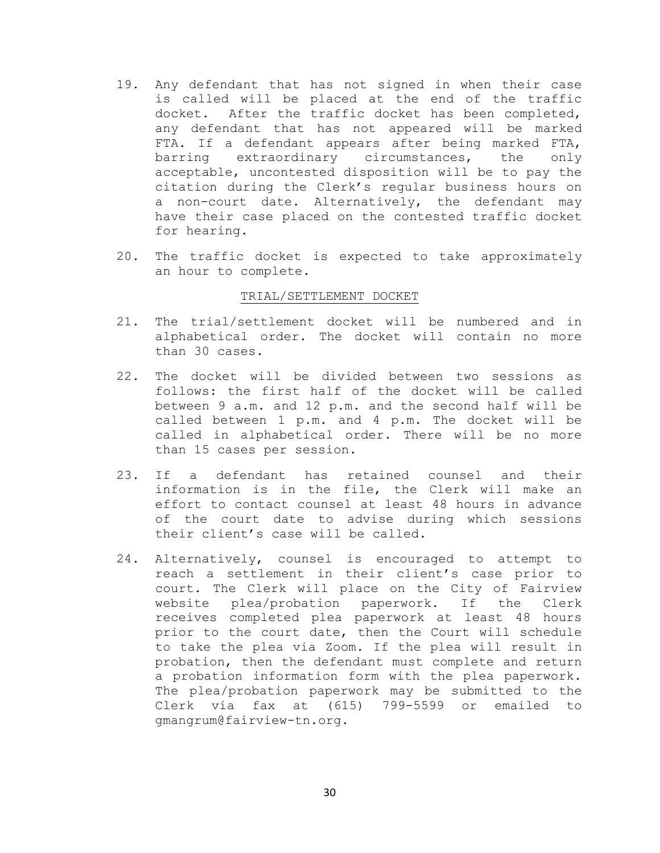- 19. Any defendant that has not signed in when their case is called will be placed at the end of the traffic docket. After the traffic docket has been completed, any defendant that has not appeared will be marked FTA. If a defendant appears after being marked FTA,<br>barring extraordinary circumstances, the only barring extraordinary circumstances, the only acceptable, uncontested disposition will be to pay the citation during the Clerk's regular business hours on a non-court date. Alternatively, the defendant may have their case placed on the contested traffic docket for hearing.
- 20. The traffic docket is expected to take approximately an hour to complete.

## TRIAL/SETTLEMENT DOCKET

- 21. The trial/settlement docket will be numbered and in alphabetical order. The docket will contain no more than 30 cases.
- 22. The docket will be divided between two sessions as follows: the first half of the docket will be called between 9 a.m. and 12 p.m. and the second half will be called between 1 p.m. and 4 p.m. The docket will be called in alphabetical order. There will be no more than 15 cases per session.
- 23. If a defendant has retained counsel and their information is in the file, the Clerk will make an effort to contact counsel at least 48 hours in advance of the court date to advise during which sessions their client's case will be called.
- 24. Alternatively, counsel is encouraged to attempt to reach a settlement in their client's case prior to court. The Clerk will place on the City of Fairview<br>website plea/probation paperwork. If the Clerk website plea/probation paperwork. If the receives completed plea paperwork at least 48 hours prior to the court date, then the Court will schedule to take the plea via Zoom. If the plea will result in probation, then the defendant must complete and return a probation information form with the plea paperwork. The plea/probation paperwork may be submitted to the<br>Clerk via fax at (615) 799-5599 or emailed to  $\text{fax at}$  (615) 799-5599 or emailed to gmangrum@fairview-tn.org.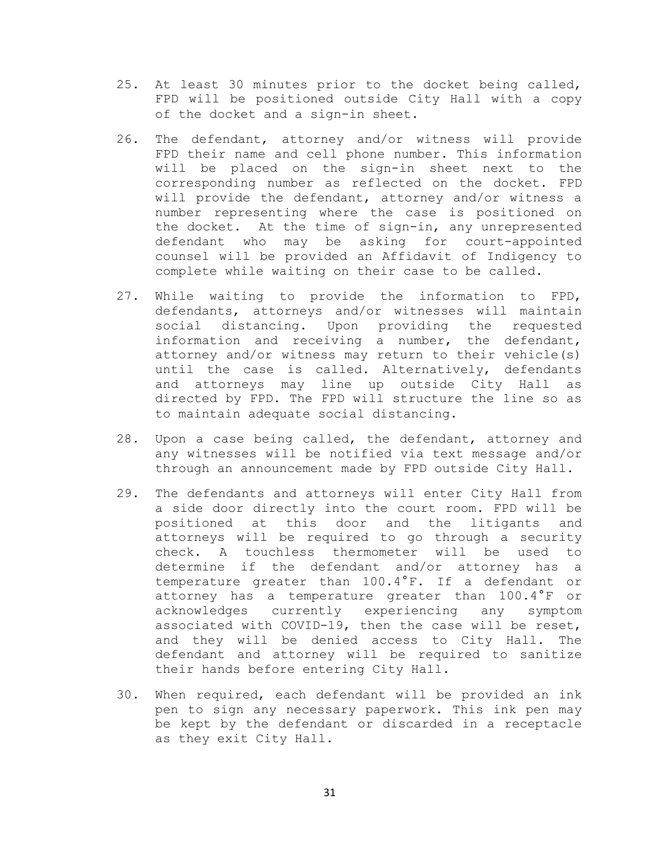- 25. At least 30 minutes prior to the docket being called, FPD will be positioned outside City Hall with a copy of the docket and a sign-in sheet.
- 26. The defendant, attorney and/or witness will provide FPD their name and cell phone number. This information will be placed on the sign-in sheet next to the corresponding number as reflected on the docket. FPD will provide the defendant, attorney and/or witness a number representing where the case is positioned on the docket. At the time of sign-in, any unrepresented defendant who may be asking for court-appointed counsel will be provided an Affidavit of Indigency to complete while waiting on their case to be called.
- 27. While waiting to provide the information to FPD, defendants, attorneys and/or witnesses will maintain social distancing. Upon providing the requested information and receiving a number, the defendant, attorney and/or witness may return to their vehicle(s) until the case is called. Alternatively, defendants and attorneys may line up outside City Hall as directed by FPD. The FPD will structure the line so as to maintain adequate social distancing.
- 28. Upon a case being called, the defendant, attorney and any witnesses will be notified via text message and/or through an announcement made by FPD outside City Hall.
- 29. The defendants and attorneys will enter City Hall from a side door directly into the court room. FPD will be positioned at this door and the litigants and attorneys will be required to go through a security check. A touchless thermometer will be used to determine if the defendant and/or attorney has a temperature greater than 100.4°F. If a defendant or attorney has a temperature greater than 100.4°F or acknowledges currently experiencing any symptom associated with COVID-19, then the case will be reset, and they will be denied access to City Hall. The defendant and attorney will be required to sanitize their hands before entering City Hall.
- 30. When required, each defendant will be provided an ink pen to sign any necessary paperwork. This ink pen may be kept by the defendant or discarded in a receptacle as they exit City Hall.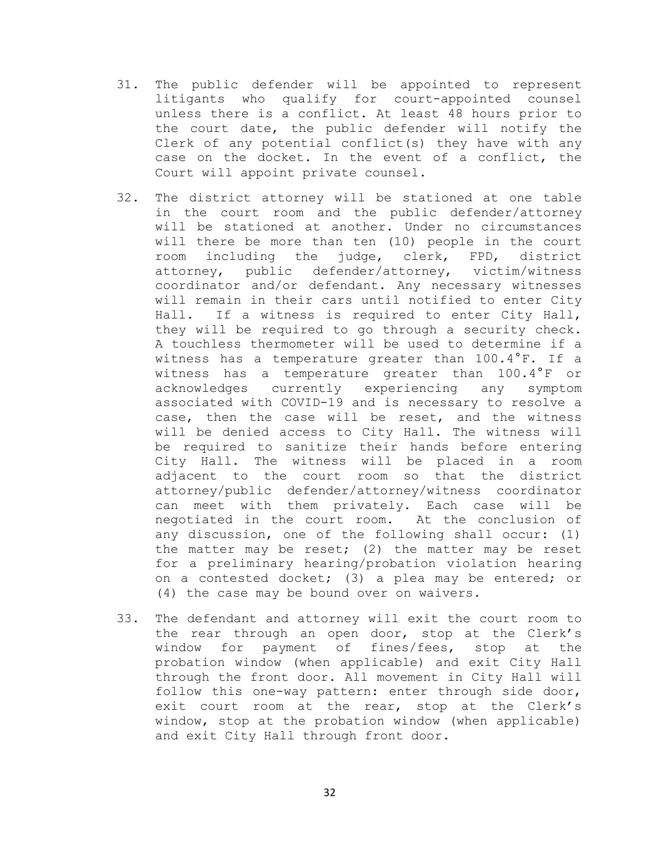- 31. The public defender will be appointed to represent litigants who qualify for court-appointed counsel unless there is a conflict. At least 48 hours prior to the court date, the public defender will notify the Clerk of any potential conflict(s) they have with any case on the docket. In the event of a conflict, the Court will appoint private counsel.
- 32. The district attorney will be stationed at one table in the court room and the public defender/attorney will be stationed at another. Under no circumstances will there be more than ten (10) people in the court<br>room including the judge, clerk, FPD, district room including the judge, clerk, FPD, attorney, public defender/attorney, victim/witness coordinator and/or defendant. Any necessary witnesses will remain in their cars until notified to enter City Hall. If a witness is required to enter City Hall, they will be required to go through a security check. A touchless thermometer will be used to determine if a witness has a temperature greater than 100.4°F. If a witness has a temperature greater than 100.4°F or acknowledges currently experiencing any symptom associated with COVID-19 and is necessary to resolve a case, then the case will be reset, and the witness will be denied access to City Hall. The witness will be required to sanitize their hands before entering City Hall. The witness will be placed in a room adjacent to the court room so that the district attorney/public defender/attorney/witness coordinator can meet with them privately. Each case will be negotiated in the court room. At the conclusion of any discussion, one of the following shall occur: (1) the matter may be reset; (2) the matter may be reset for a preliminary hearing/probation violation hearing on a contested docket; (3) a plea may be entered; or (4) the case may be bound over on waivers.
- 33. The defendant and attorney will exit the court room to the rear through an open door, stop at the Clerk's window for payment of fines/fees, stop at the probation window (when applicable) and exit City Hall through the front door. All movement in City Hall will follow this one-way pattern: enter through side door, exit court room at the rear, stop at the Clerk's window, stop at the probation window (when applicable) and exit City Hall through front door.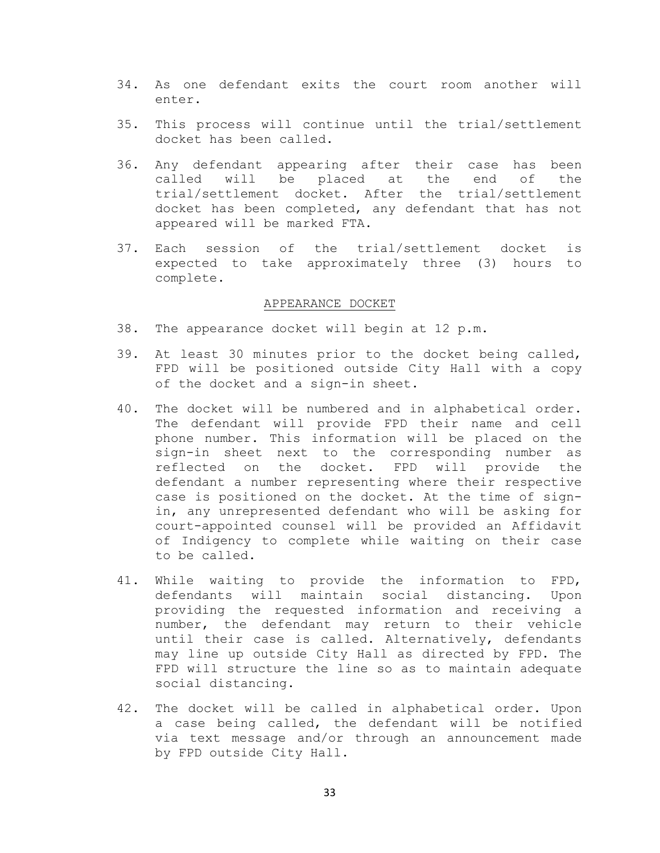- 34. As one defendant exits the court room another will enter.
- 35. This process will continue until the trial/settlement docket has been called.
- 36. Any defendant appearing after their case has been called will be placed at the end of the trial/settlement docket. After the trial/settlement docket has been completed, any defendant that has not appeared will be marked FTA.
- 37. Each session of the trial/settlement docket is expected to take approximately three (3) hours to complete.

#### APPEARANCE DOCKET

- 38. The appearance docket will begin at 12 p.m.
- 39. At least 30 minutes prior to the docket being called, FPD will be positioned outside City Hall with a copy of the docket and a sign-in sheet.
- 40. The docket will be numbered and in alphabetical order. The defendant will provide FPD their name and cell phone number. This information will be placed on the sign-in sheet next to the corresponding number as reflected on the docket. FPD will provide the defendant a number representing where their respective case is positioned on the docket. At the time of signin, any unrepresented defendant who will be asking for court-appointed counsel will be provided an Affidavit of Indigency to complete while waiting on their case to be called.
- 41. While waiting to provide the information to FPD, defendants will maintain social distancing. Upon providing the requested information and receiving a number, the defendant may return to their vehicle until their case is called. Alternatively, defendants may line up outside City Hall as directed by FPD. The FPD will structure the line so as to maintain adequate social distancing.
- 42. The docket will be called in alphabetical order. Upon a case being called, the defendant will be notified via text message and/or through an announcement made by FPD outside City Hall.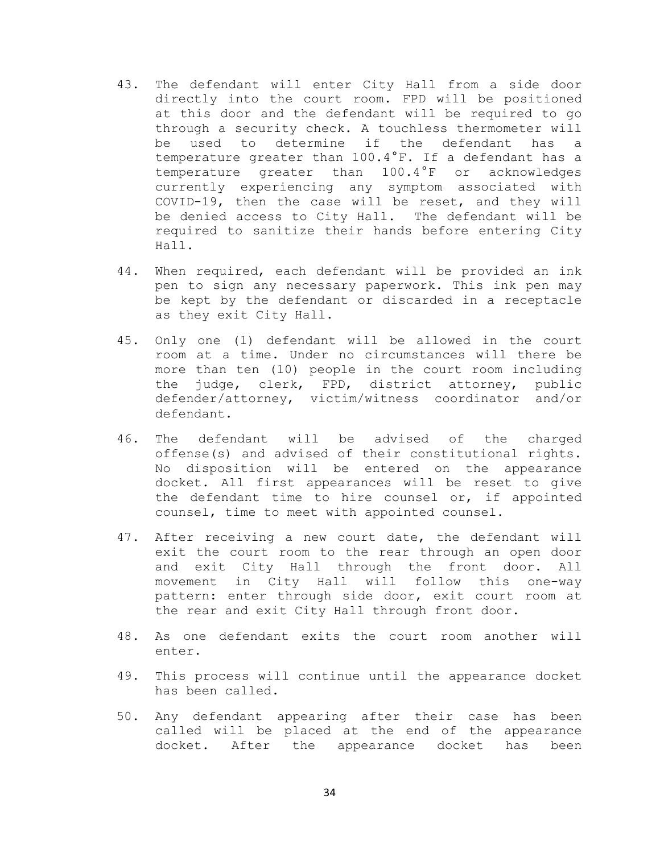- 43. The defendant will enter City Hall from a side door directly into the court room. FPD will be positioned at this door and the defendant will be required to go through a security check. A touchless thermometer will<br>be used to determine if the defendant has a used to determine if the defendant has temperature greater than 100.4°F. If a defendant has a temperature greater than 100.4°F or acknowledges currently experiencing any symptom associated with COVID-19, then the case will be reset, and they will be denied access to City Hall. The defendant will be required to sanitize their hands before entering City Hall.
- 44. When required, each defendant will be provided an ink pen to sign any necessary paperwork. This ink pen may be kept by the defendant or discarded in a receptacle as they exit City Hall.
- 45. Only one (1) defendant will be allowed in the court room at a time. Under no circumstances will there be more than ten (10) people in the court room including the judge, clerk, FPD, district attorney, public defender/attorney, victim/witness coordinator and/or defendant.
- 46. The defendant will be advised of the charged offense(s) and advised of their constitutional rights. No disposition will be entered on the appearance docket. All first appearances will be reset to give the defendant time to hire counsel or, if appointed counsel, time to meet with appointed counsel.
- 47. After receiving a new court date, the defendant will exit the court room to the rear through an open door and exit City Hall through the front door. All<br>movement in City Hall will follow this one-way movement in City Hall will follow this pattern: enter through side door, exit court room at the rear and exit City Hall through front door.
- 48. As one defendant exits the court room another will enter.
- 49. This process will continue until the appearance docket has been called.
- 50. Any defendant appearing after their case has been called will be placed at the end of the appearance docket. After the appearance docket has been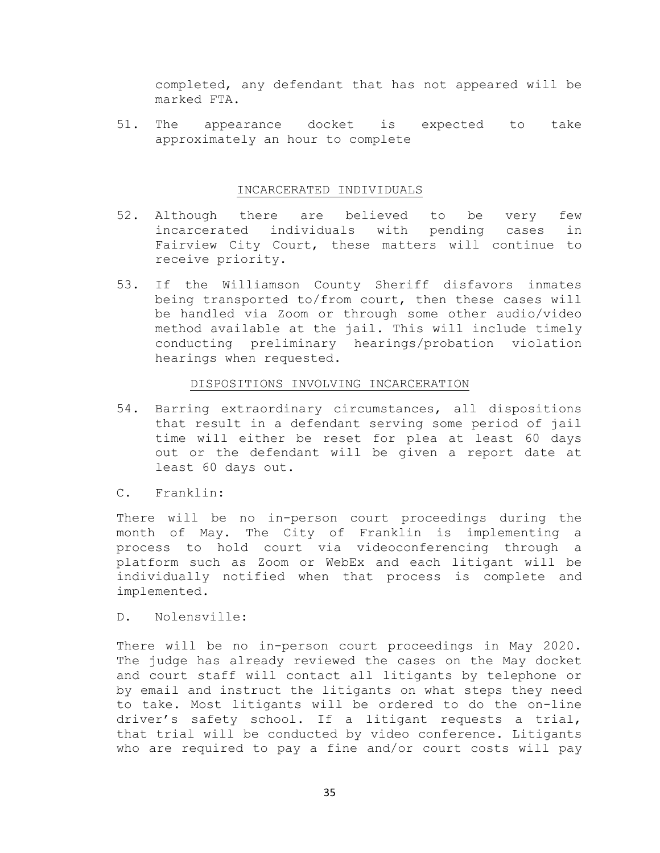completed, any defendant that has not appeared will be marked FTA.

51. The appearance docket is expected to take approximately an hour to complete

## INCARCERATED INDIVIDUALS

- 52. Although there are believed to be very few<br>incarcerated individuals with pending cases in individuals with pending cases in Fairview City Court, these matters will continue to receive priority.
- 53. If the Williamson County Sheriff disfavors inmates being transported to/from court, then these cases will be handled via Zoom or through some other audio/video method available at the jail. This will include timely conducting preliminary hearings/probation violation hearings when requested.

## DISPOSITIONS INVOLVING INCARCERATION

- 54. Barring extraordinary circumstances, all dispositions that result in a defendant serving some period of jail time will either be reset for plea at least 60 days out or the defendant will be given a report date at least 60 days out.
- C. Franklin:

There will be no in-person court proceedings during the month of May. The City of Franklin is implementing a process to hold court via videoconferencing through a platform such as Zoom or WebEx and each litigant will be individually notified when that process is complete and implemented.

D. Nolensville:

There will be no in-person court proceedings in May 2020. The judge has already reviewed the cases on the May docket and court staff will contact all litigants by telephone or by email and instruct the litigants on what steps they need to take. Most litigants will be ordered to do the on-line driver's safety school. If a litigant requests a trial, that trial will be conducted by video conference. Litigants who are required to pay a fine and/or court costs will pay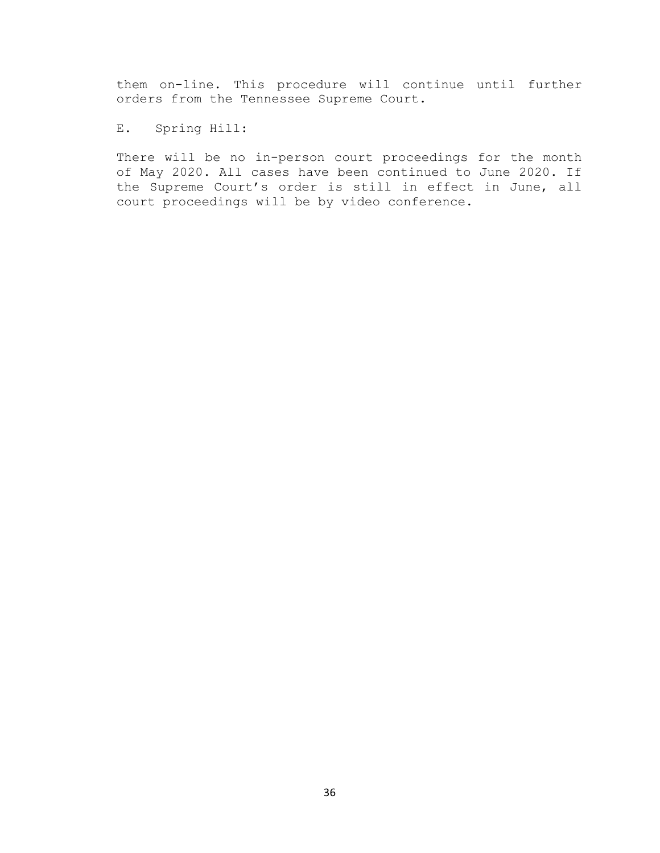them on-line. This procedure will continue until further orders from the Tennessee Supreme Court.

E. Spring Hill:

There will be no in-person court proceedings for the month of May 2020. All cases have been continued to June 2020. If the Supreme Court's order is still in effect in June, all court proceedings will be by video conference.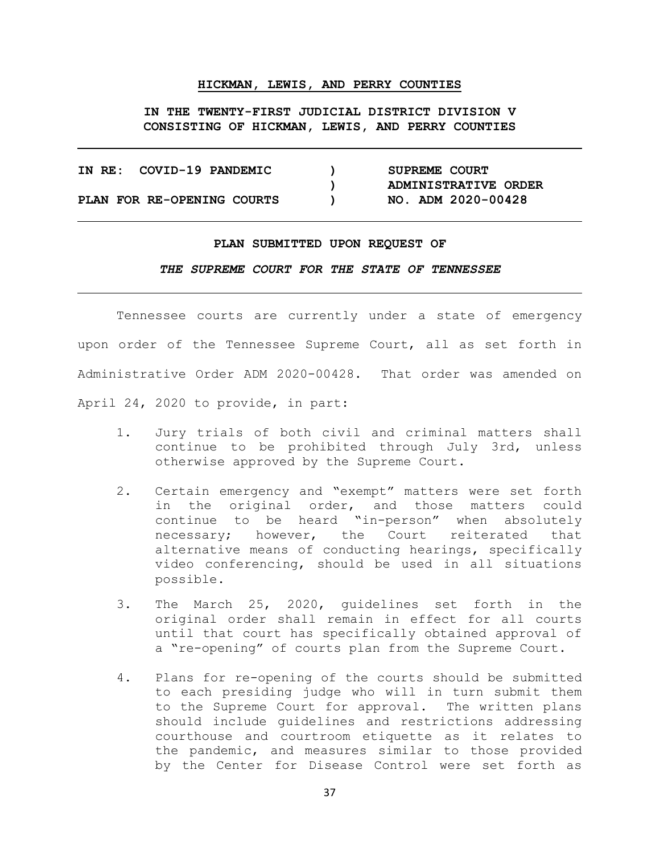#### **HICKMAN, LEWIS, AND PERRY COUNTIES**

**IN THE TWENTY-FIRST JUDICIAL DISTRICT DIVISION V CONSISTING OF HICKMAN, LEWIS, AND PERRY COUNTIES**

| IN RE: COVID-19 PANDEMIC   |  | SUPREME COURT        |
|----------------------------|--|----------------------|
|                            |  | ADMINISTRATIVE ORDER |
| PLAN FOR RE-OPENING COURTS |  | NO. ADM 2020-00428   |

#### **PLAN SUBMITTED UPON REQUEST OF**

*THE SUPREME COURT FOR THE STATE OF TENNESSEE*

Tennessee courts are currently under a state of emergency upon order of the Tennessee Supreme Court, all as set forth in Administrative Order ADM 2020-00428. That order was amended on April 24, 2020 to provide, in part:

- 1. Jury trials of both civil and criminal matters shall continue to be prohibited through July 3rd, unless otherwise approved by the Supreme Court.
- 2. Certain emergency and "exempt" matters were set forth in the original order, and those matters could continue to be heard "in-person" when absolutely<br>necessary; however, the Court reiterated that reiterated that alternative means of conducting hearings, specifically video conferencing, should be used in all situations possible.
- 3. The March 25, 2020, guidelines set forth in the original order shall remain in effect for all courts until that court has specifically obtained approval of a "re-opening" of courts plan from the Supreme Court.
- 4. Plans for re-opening of the courts should be submitted to each presiding judge who will in turn submit them to the Supreme Court for approval. The written plans should include guidelines and restrictions addressing courthouse and courtroom etiquette as it relates to the pandemic, and measures similar to those provided by the Center for Disease Control were set forth as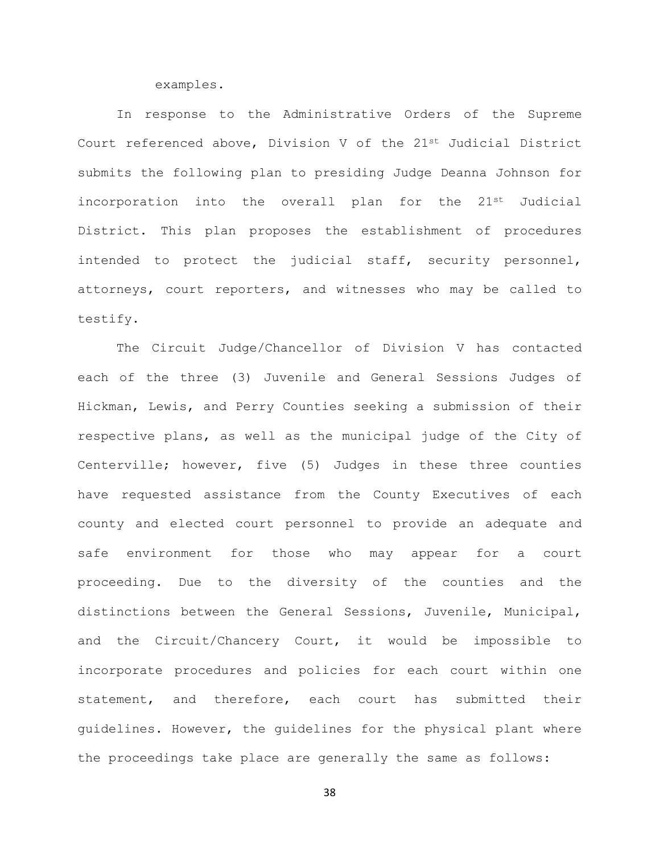examples.

In response to the Administrative Orders of the Supreme Court referenced above, Division V of the 21<sup>st</sup> Judicial District submits the following plan to presiding Judge Deanna Johnson for incorporation into the overall plan for the 21st Judicial District. This plan proposes the establishment of procedures intended to protect the judicial staff, security personnel, attorneys, court reporters, and witnesses who may be called to testify.

The Circuit Judge/Chancellor of Division V has contacted each of the three (3) Juvenile and General Sessions Judges of Hickman, Lewis, and Perry Counties seeking a submission of their respective plans, as well as the municipal judge of the City of Centerville; however, five (5) Judges in these three counties have requested assistance from the County Executives of each county and elected court personnel to provide an adequate and safe environment for those who may appear for a court proceeding. Due to the diversity of the counties and the distinctions between the General Sessions, Juvenile, Municipal, and the Circuit/Chancery Court, it would be impossible to incorporate procedures and policies for each court within one statement, and therefore, each court has submitted their guidelines. However, the guidelines for the physical plant where the proceedings take place are generally the same as follows: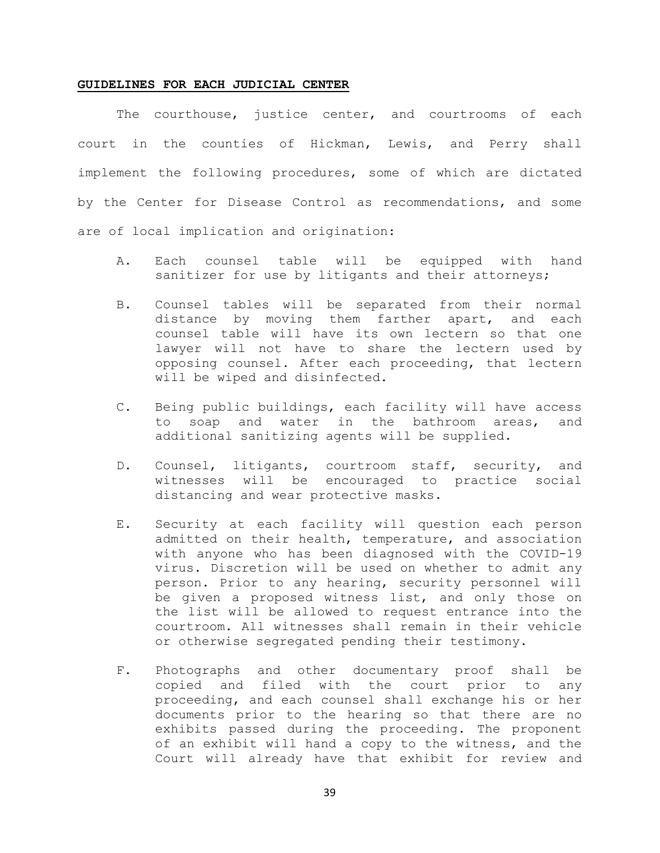#### **GUIDELINES FOR EACH JUDICIAL CENTER**

The courthouse, justice center, and courtrooms of each court in the counties of Hickman, Lewis, and Perry shall implement the following procedures, some of which are dictated by the Center for Disease Control as recommendations, and some are of local implication and origination:

- A. Each counsel table will be equipped with hand sanitizer for use by litigants and their attorneys;
- B. Counsel tables will be separated from their normal distance by moving them farther apart, and each counsel table will have its own lectern so that one lawyer will not have to share the lectern used by opposing counsel. After each proceeding, that lectern will be wiped and disinfected.
- C. Being public buildings, each facility will have access to soap and water in the bathroom areas, and additional sanitizing agents will be supplied.
- D. Counsel, litigants, courtroom staff, security, and witnesses will be encouraged to practice social distancing and wear protective masks.
- E. Security at each facility will question each person admitted on their health, temperature, and association with anyone who has been diagnosed with the COVID-19 virus. Discretion will be used on whether to admit any person. Prior to any hearing, security personnel will be given a proposed witness list, and only those on the list will be allowed to request entrance into the courtroom. All witnesses shall remain in their vehicle or otherwise segregated pending their testimony.
- F. Photographs and other documentary proof shall be copied and filed with the court prior to any proceeding, and each counsel shall exchange his or her documents prior to the hearing so that there are no exhibits passed during the proceeding. The proponent of an exhibit will hand a copy to the witness, and the Court will already have that exhibit for review and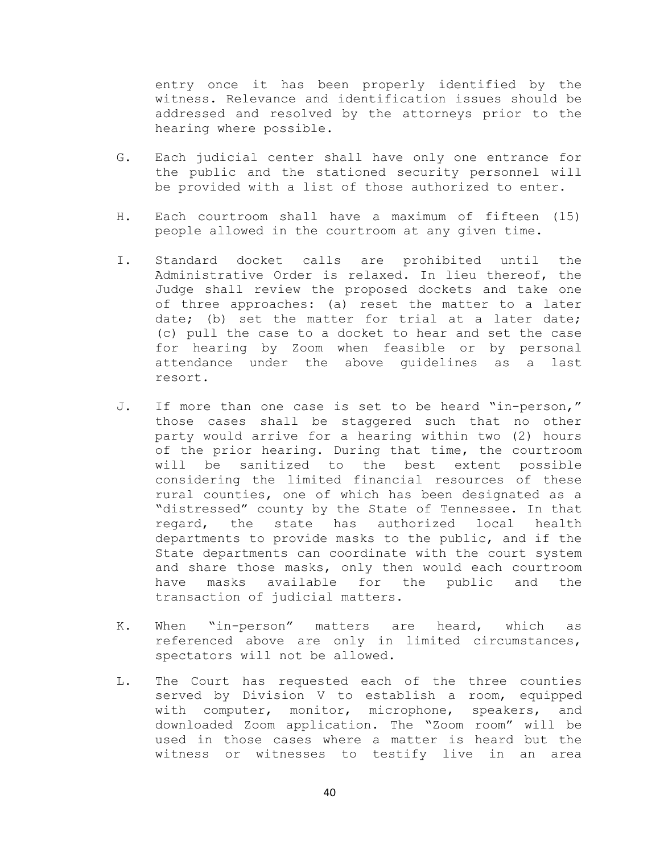entry once it has been properly identified by the witness. Relevance and identification issues should be addressed and resolved by the attorneys prior to the hearing where possible.

- G. Each judicial center shall have only one entrance for the public and the stationed security personnel will be provided with a list of those authorized to enter.
- H. Each courtroom shall have a maximum of fifteen (15) people allowed in the courtroom at any given time.
- I. Standard docket calls are prohibited until the Administrative Order is relaxed. In lieu thereof, the Judge shall review the proposed dockets and take one of three approaches: (a) reset the matter to a later date; (b) set the matter for trial at a later date; (c) pull the case to a docket to hear and set the case for hearing by Zoom when feasible or by personal attendance under the above guidelines as a last resort.
- J. If more than one case is set to be heard "in-person," those cases shall be staggered such that no other party would arrive for a hearing within two (2) hours of the prior hearing. During that time, the courtroom<br>will be sanitized to the best extent possible be sanitized to the best extent possible considering the limited financial resources of these rural counties, one of which has been designated as a "distressed" county by the State of Tennessee. In that<br>regard, the state has authorized local health regard, the departments to provide masks to the public, and if the State departments can coordinate with the court system and share those masks, only then would each courtroom have masks available for the public and the transaction of judicial matters.
- K. When "in-person" matters are heard, which as referenced above are only in limited circumstances, spectators will not be allowed.
- L. The Court has requested each of the three counties served by Division V to establish a room, equipped with computer, monitor, microphone, speakers, and downloaded Zoom application. The "Zoom room" will be used in those cases where a matter is heard but the witness or witnesses to testify live in an area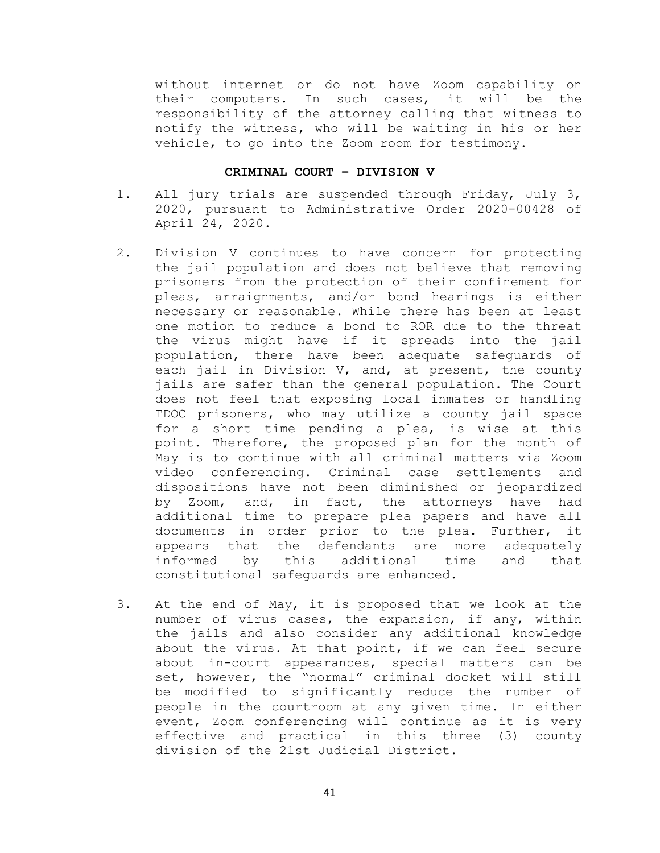without internet or do not have Zoom capability on their computers. In such cases, it will be the responsibility of the attorney calling that witness to notify the witness, who will be waiting in his or her vehicle, to go into the Zoom room for testimony.

### **CRIMINAL COURT – DIVISION V**

- 1. All jury trials are suspended through Friday, July 3, 2020, pursuant to Administrative Order 2020-00428 of April 24, 2020.
- 2. Division V continues to have concern for protecting the jail population and does not believe that removing prisoners from the protection of their confinement for pleas, arraignments, and/or bond hearings is either necessary or reasonable. While there has been at least one motion to reduce a bond to ROR due to the threat the virus might have if it spreads into the jail population, there have been adequate safeguards of each jail in Division V, and, at present, the county jails are safer than the general population. The Court does not feel that exposing local inmates or handling TDOC prisoners, who may utilize a county jail space for a short time pending a plea, is wise at this point. Therefore, the proposed plan for the month of May is to continue with all criminal matters via Zoom video conferencing. Criminal case settlements and dispositions have not been diminished or jeopardized by Zoom, and, in fact, the attorneys have had additional time to prepare plea papers and have all documents in order prior to the plea. Further, it<br>appears that the defendants are more adequately appears that the defendants are more<br>informed by this additional time informed by this additional time and that constitutional safeguards are enhanced.
- 3. At the end of May, it is proposed that we look at the number of virus cases, the expansion, if any, within the jails and also consider any additional knowledge about the virus. At that point, if we can feel secure about in-court appearances, special matters can be set, however, the "normal" criminal docket will still be modified to significantly reduce the number of people in the courtroom at any given time. In either event, Zoom conferencing will continue as it is very effective and practical in this three (3) county division of the 21st Judicial District.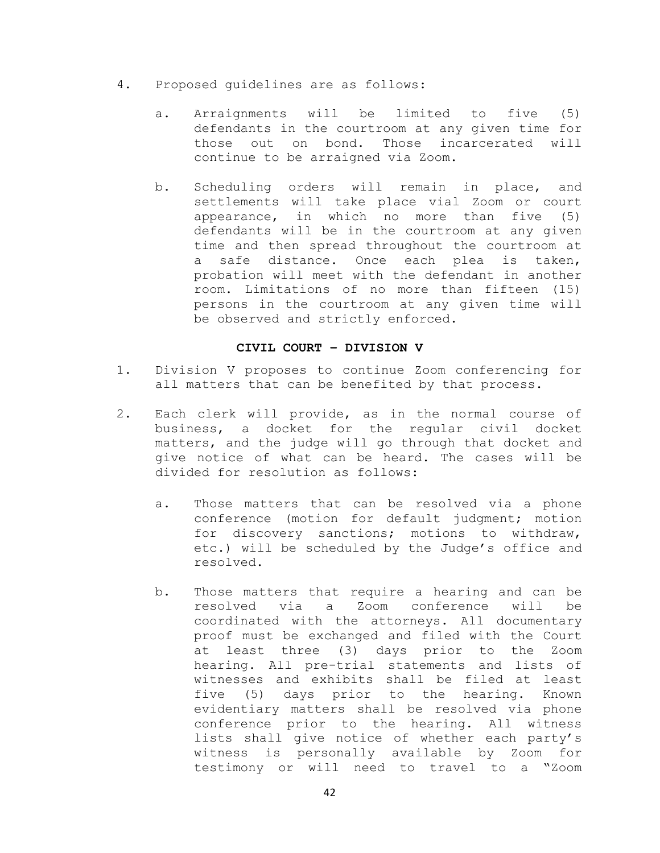- 4. Proposed guidelines are as follows:
	- a. Arraignments will be limited to five (5) defendants in the courtroom at any given time for those out on bond. Those incarcerated will continue to be arraigned via Zoom.
	- b. Scheduling orders will remain in place, and settlements will take place vial Zoom or court appearance, in which no more than five (5) defendants will be in the courtroom at any given time and then spread throughout the courtroom at a safe distance. Once each plea is taken, probation will meet with the defendant in another room. Limitations of no more than fifteen (15) persons in the courtroom at any given time will be observed and strictly enforced.

### **CIVIL COURT – DIVISION V**

- 1. Division V proposes to continue Zoom conferencing for all matters that can be benefited by that process.
- 2. Each clerk will provide, as in the normal course of business, a docket for the regular civil docket matters, and the judge will go through that docket and give notice of what can be heard. The cases will be divided for resolution as follows:
	- a. Those matters that can be resolved via a phone conference (motion for default judgment; motion for discovery sanctions; motions to withdraw, etc.) will be scheduled by the Judge's office and resolved.
	- b. Those matters that require a hearing and can be resolved via a Zoom conference will be coordinated with the attorneys. All documentary proof must be exchanged and filed with the Court at least three (3) days prior to the Zoom hearing. All pre-trial statements and lists of witnesses and exhibits shall be filed at least<br>five (5) days prior to the hearing. Known five  $(5)$  days prior to the hearing. evidentiary matters shall be resolved via phone conference prior to the hearing. All witness lists shall give notice of whether each party's witness is personally available by Zoom for testimony or will need to travel to a "Zoom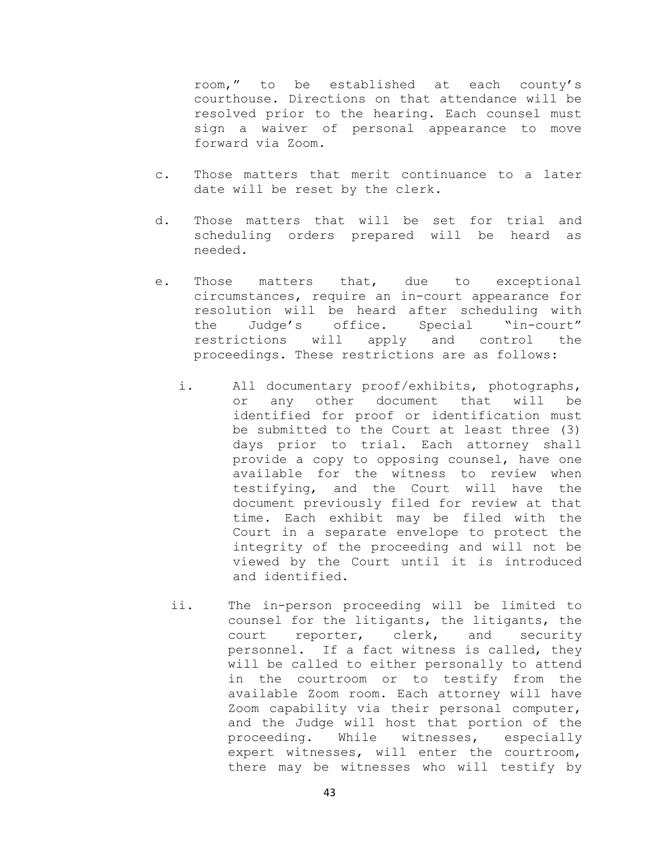room," to be established at each county's courthouse. Directions on that attendance will be resolved prior to the hearing. Each counsel must sign a waiver of personal appearance to move forward via Zoom.

- c. Those matters that merit continuance to a later date will be reset by the clerk.
- d. Those matters that will be set for trial and scheduling orders prepared will be heard as needed.
- e. Those matters that, due to exceptional circumstances, require an in-court appearance for resolution will be heard after scheduling with<br>the Judge's office. Special "in-court" office. restrictions will apply and control the proceedings. These restrictions are as follows:
	- i. All documentary proof/exhibits, photographs, or any other document that will be identified for proof or identification must be submitted to the Court at least three (3) days prior to trial. Each attorney shall provide a copy to opposing counsel, have one available for the witness to review when testifying, and the Court will have the document previously filed for review at that time. Each exhibit may be filed with the Court in a separate envelope to protect the integrity of the proceeding and will not be viewed by the Court until it is introduced and identified.
	- ii. The in-person proceeding will be limited to counsel for the litigants, the litigants, the<br>court reporter, clerk, and security reporter, clerk, and security personnel. If a fact witness is called, they will be called to either personally to attend in the courtroom or to testify from the available Zoom room. Each attorney will have Zoom capability via their personal computer, and the Judge will host that portion of the proceeding. While witnesses, especially expert witnesses, will enter the courtroom, there may be witnesses who will testify by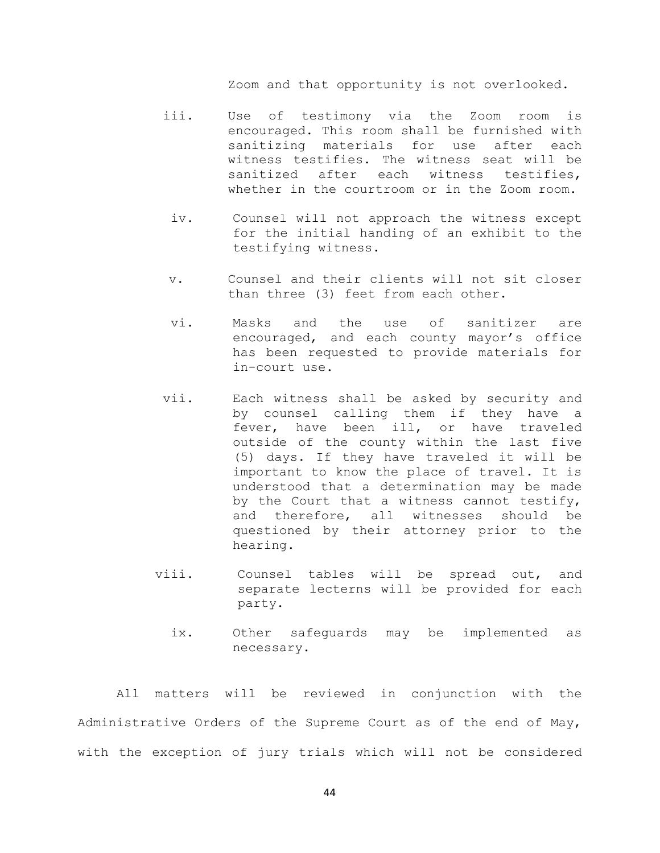Zoom and that opportunity is not overlooked.

- iii. Use of testimony via the Zoom room is encouraged. This room shall be furnished with sanitizing materials for use after each witness testifies. The witness seat will be sanitized after each witness testifies, whether in the courtroom or in the Zoom room.
	- iv. Counsel will not approach the witness except for the initial handing of an exhibit to the testifying witness.
- v. Counsel and their clients will not sit closer than three (3) feet from each other.
- vi. Masks and the use of sanitizer are encouraged, and each county mayor's office has been requested to provide materials for in-court use.
- vii. Each witness shall be asked by security and by counsel calling them if they have a fever, have been ill, or have traveled outside of the county within the last five (5) days. If they have traveled it will be important to know the place of travel. It is understood that a determination may be made by the Court that a witness cannot testify, and therefore, all witnesses should be questioned by their attorney prior to the hearing.
- viii. Counsel tables will be spread out, and separate lecterns will be provided for each party.
	- ix. Other safeguards may be implemented as necessary.

All matters will be reviewed in conjunction with the Administrative Orders of the Supreme Court as of the end of May, with the exception of jury trials which will not be considered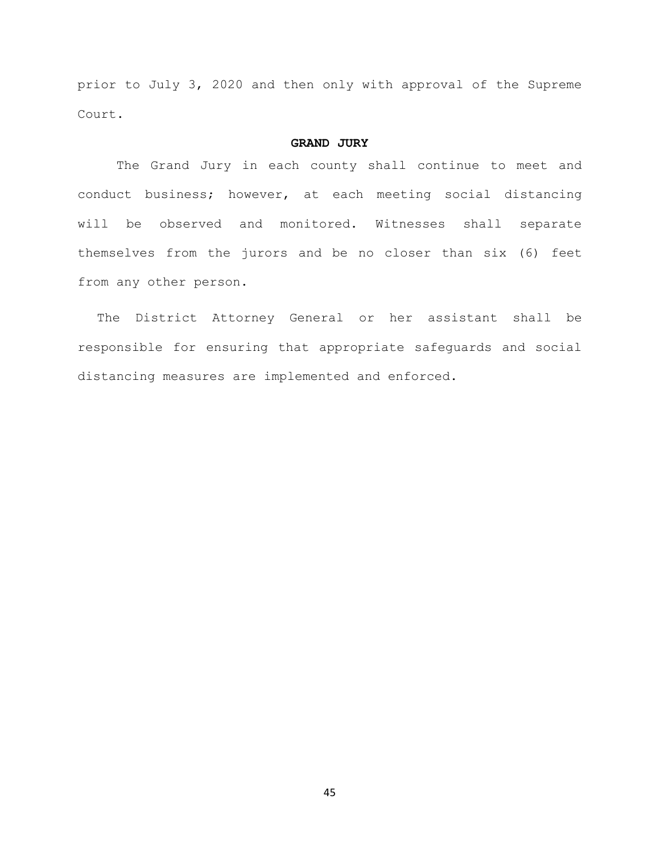prior to July 3, 2020 and then only with approval of the Supreme Court.

## **GRAND JURY**

The Grand Jury in each county shall continue to meet and conduct business; however, at each meeting social distancing will be observed and monitored. Witnesses shall separate themselves from the jurors and be no closer than six (6) feet from any other person.

The District Attorney General or her assistant shall be responsible for ensuring that appropriate safeguards and social distancing measures are implemented and enforced.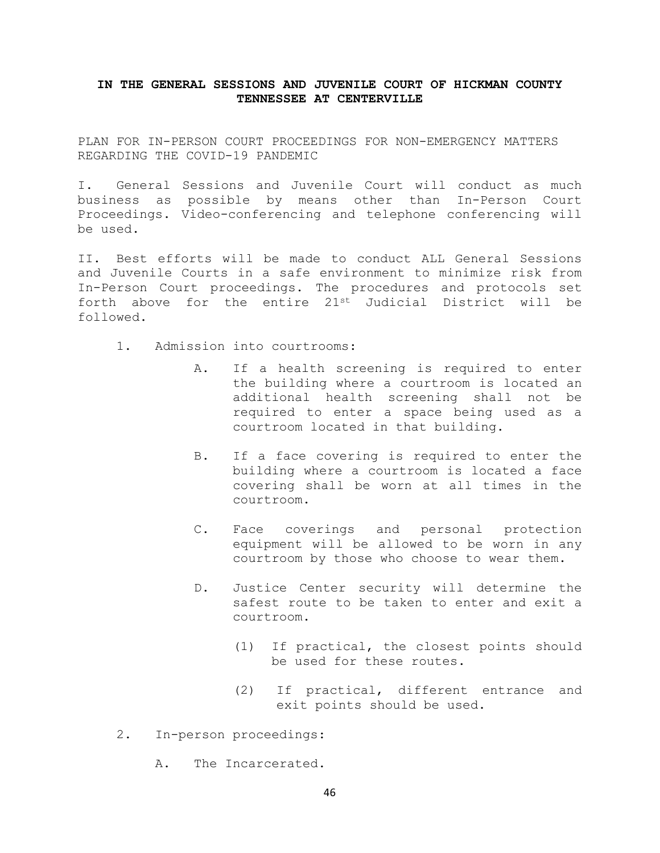## **IN THE GENERAL SESSIONS AND JUVENILE COURT OF HICKMAN COUNTY TENNESSEE AT CENTERVILLE**

PLAN FOR IN-PERSON COURT PROCEEDINGS FOR NON-EMERGENCY MATTERS REGARDING THE COVID-19 PANDEMIC

I. General Sessions and Juvenile Court will conduct as much business as possible by means other than In-Person Court Proceedings. Video-conferencing and telephone conferencing will be used.

II. Best efforts will be made to conduct ALL General Sessions and Juvenile Courts in a safe environment to minimize risk from In-Person Court proceedings. The procedures and protocols set forth above for the entire 21st Judicial District will be followed.

- 1. Admission into courtrooms:
	- A. If a health screening is required to enter the building where a courtroom is located an additional health screening shall not be required to enter a space being used as a courtroom located in that building.
	- B. If a face covering is required to enter the building where a courtroom is located a face covering shall be worn at all times in the courtroom.
	- C. Face coverings and personal protection equipment will be allowed to be worn in any courtroom by those who choose to wear them.
	- D. Justice Center security will determine the safest route to be taken to enter and exit a courtroom.
		- (1) If practical, the closest points should be used for these routes.
		- (2) If practical, different entrance and exit points should be used.
- 2. In-person proceedings:
	- A. The Incarcerated.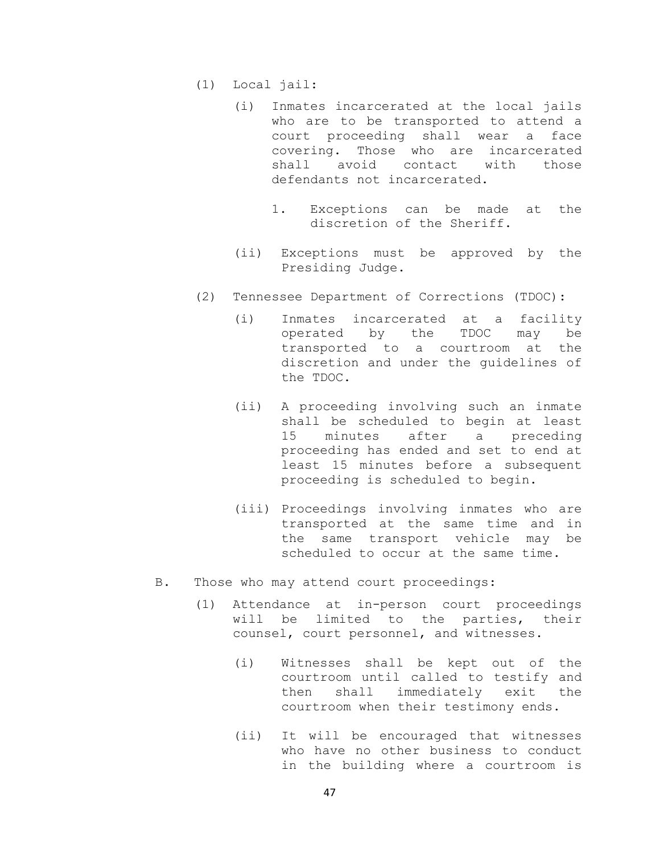- (1) Local jail:
	- (i) Inmates incarcerated at the local jails who are to be transported to attend a court proceeding shall wear a face covering. Those who are incarcerated<br>shall avoid contact with those shall avoid defendants not incarcerated.
		- 1. Exceptions can be made at the discretion of the Sheriff.
	- (ii) Exceptions must be approved by the Presiding Judge.
- (2) Tennessee Department of Corrections (TDOC):
	- (i) Inmates incarcerated at a facility<br>operated by the TDOC may be operated by the TDOC may be transported to a courtroom at the discretion and under the guidelines of the TDOC.
	- (ii) A proceeding involving such an inmate shall be scheduled to begin at least<br>15 minutes after a preceding a preceding proceeding has ended and set to end at least 15 minutes before a subsequent proceeding is scheduled to begin.
	- (iii) Proceedings involving inmates who are transported at the same time and in the same transport vehicle may be scheduled to occur at the same time.
- B. Those who may attend court proceedings:
	- (1) Attendance at in-person court proceedings will be limited to the parties, their counsel, court personnel, and witnesses.
		- (i) Witnesses shall be kept out of the courtroom until called to testify and<br>then shall immediately exit the then shall immediately exit courtroom when their testimony ends.
		- (ii) It will be encouraged that witnesses who have no other business to conduct in the building where a courtroom is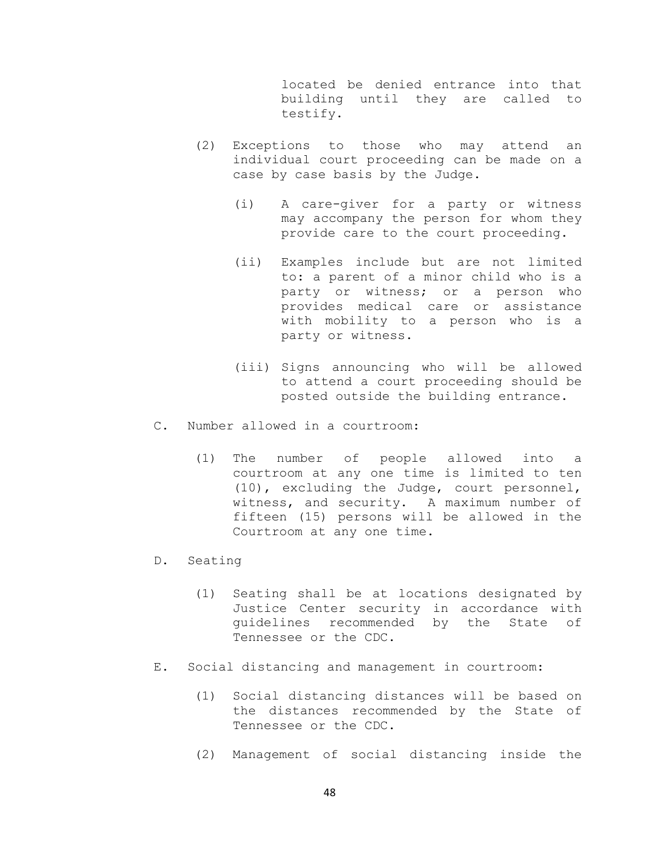located be denied entrance into that building until they are called to testify.

- (2) Exceptions to those who may attend an individual court proceeding can be made on a case by case basis by the Judge.
	- (i) A care-giver for a party or witness may accompany the person for whom they provide care to the court proceeding.
	- (ii) Examples include but are not limited to: a parent of a minor child who is a party or witness; or a person who provides medical care or assistance with mobility to a person who is a party or witness.
	- (iii) Signs announcing who will be allowed to attend a court proceeding should be posted outside the building entrance.
- C. Number allowed in a courtroom:
	- (1) The number of people allowed into a courtroom at any one time is limited to ten (10), excluding the Judge, court personnel, witness, and security. A maximum number of fifteen (15) persons will be allowed in the Courtroom at any one time.
- D. Seating
	- (1) Seating shall be at locations designated by Justice Center security in accordance with guidelines recommended by the State of Tennessee or the CDC.
- E. Social distancing and management in courtroom:
	- (1) Social distancing distances will be based on the distances recommended by the State of Tennessee or the CDC.
	- (2) Management of social distancing inside the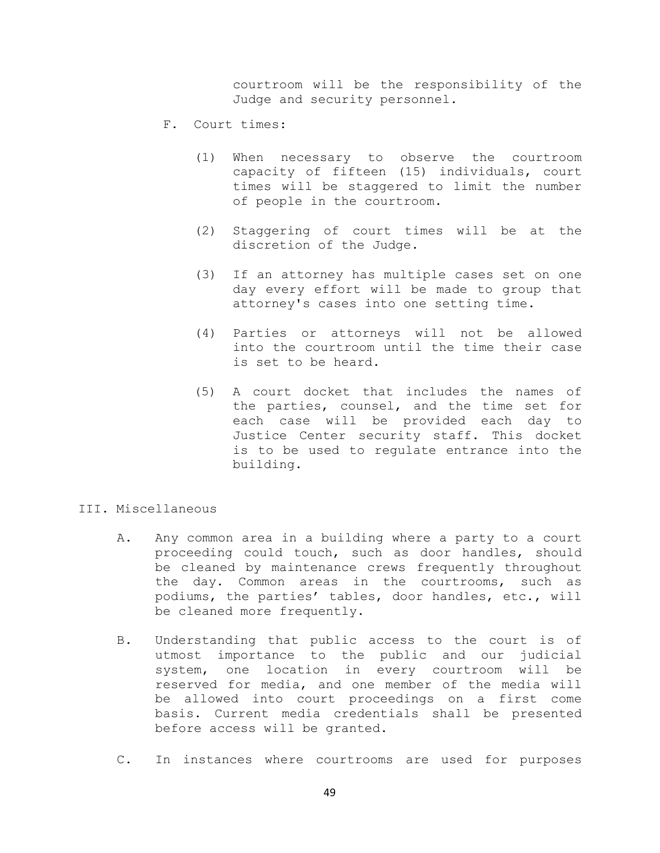courtroom will be the responsibility of the Judge and security personnel.

- F. Court times:
	- (1) When necessary to observe the courtroom capacity of fifteen (15) individuals, court times will be staggered to limit the number of people in the courtroom.
	- (2) Staggering of court times will be at the discretion of the Judge.
	- (3) If an attorney has multiple cases set on one day every effort will be made to group that attorney's cases into one setting time.
	- (4) Parties or attorneys will not be allowed into the courtroom until the time their case is set to be heard.
	- (5) A court docket that includes the names of the parties, counsel, and the time set for each case will be provided each day to Justice Center security staff. This docket is to be used to regulate entrance into the building.
- III. Miscellaneous
	- A. Any common area in a building where a party to a court proceeding could touch, such as door handles, should be cleaned by maintenance crews frequently throughout the day. Common areas in the courtrooms, such as podiums, the parties' tables, door handles, etc., will be cleaned more frequently.
	- B. Understanding that public access to the court is of utmost importance to the public and our judicial system, one location in every courtroom will be reserved for media, and one member of the media will be allowed into court proceedings on a first come basis. Current media credentials shall be presented before access will be granted.
	- C. In instances where courtrooms are used for purposes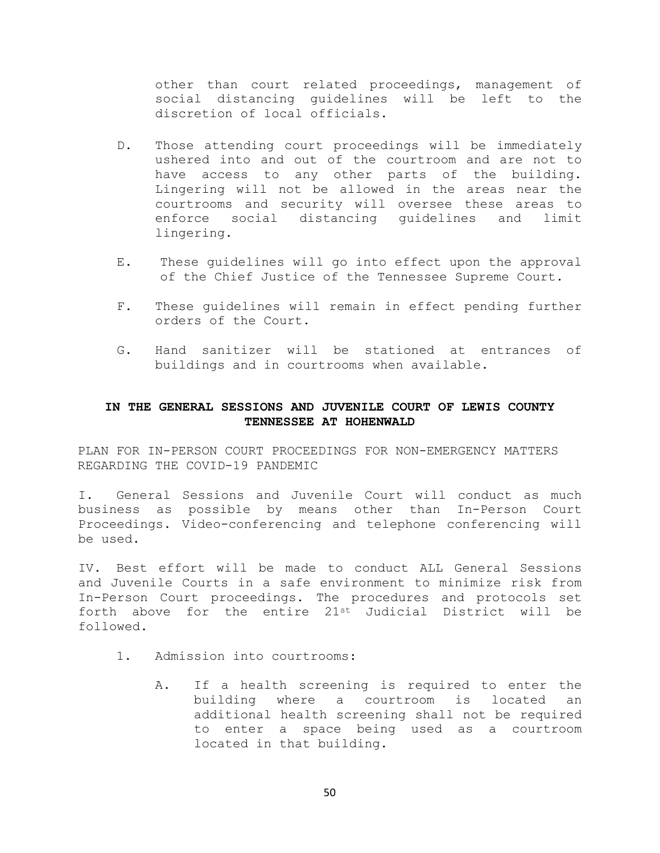other than court related proceedings, management of social distancing guidelines will be left to the discretion of local officials.

- D. Those attending court proceedings will be immediately ushered into and out of the courtroom and are not to have access to any other parts of the building. Lingering will not be allowed in the areas near the courtrooms and security will oversee these areas to<br>enforce social distancing quidelines and limit distancing guidelines and limit lingering.
- E. These guidelines will go into effect upon the approval of the Chief Justice of the Tennessee Supreme Court.
- F. These guidelines will remain in effect pending further orders of the Court.
- G. Hand sanitizer will be stationed at entrances of buildings and in courtrooms when available.

## **IN THE GENERAL SESSIONS AND JUVENILE COURT OF LEWIS COUNTY TENNESSEE AT HOHENWALD**

PLAN FOR IN-PERSON COURT PROCEEDINGS FOR NON-EMERGENCY MATTERS REGARDING THE COVID-19 PANDEMIC

I. General Sessions and Juvenile Court will conduct as much business as possible by means other than In-Person Court Proceedings. Video-conferencing and telephone conferencing will be used.

IV. Best effort will be made to conduct ALL General Sessions and Juvenile Courts in a safe environment to minimize risk from In-Person Court proceedings. The procedures and protocols set forth above for the entire 21st Judicial District will be followed.

- 1. Admission into courtrooms:
	- A. If a health screening is required to enter the building where a courtroom is located an additional health screening shall not be required to enter a space being used as a courtroom located in that building.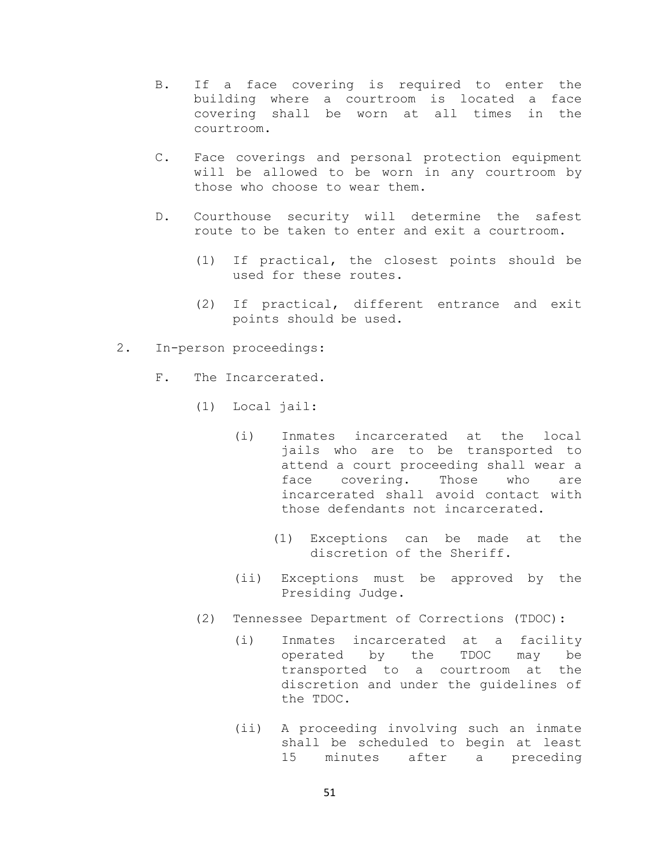- B. If a face covering is required to enter the building where a courtroom is located a face covering shall be worn at all times in the courtroom.
- C. Face coverings and personal protection equipment will be allowed to be worn in any courtroom by those who choose to wear them.
- D. Courthouse security will determine the safest route to be taken to enter and exit a courtroom.
	- (1) If practical, the closest points should be used for these routes.
	- (2) If practical, different entrance and exit points should be used.
- 2. In-person proceedings:
	- F. The Incarcerated.
		- (1) Local jail:
			- (i) Inmates incarcerated at the local jails who are to be transported to attend a court proceeding shall wear a<br>face covering. Those who are face covering. Those who are incarcerated shall avoid contact with those defendants not incarcerated.
				- (1) Exceptions can be made at the discretion of the Sheriff.
			- (ii) Exceptions must be approved by the Presiding Judge.
		- (2) Tennessee Department of Corrections (TDOC):
			- (i) Inmates incarcerated at a facility operated by the TDOC may be transported to a courtroom at the discretion and under the guidelines of the TDOC.
			- (ii) A proceeding involving such an inmate shall be scheduled to begin at least<br>15 minutes after a preceding minutes after a preceding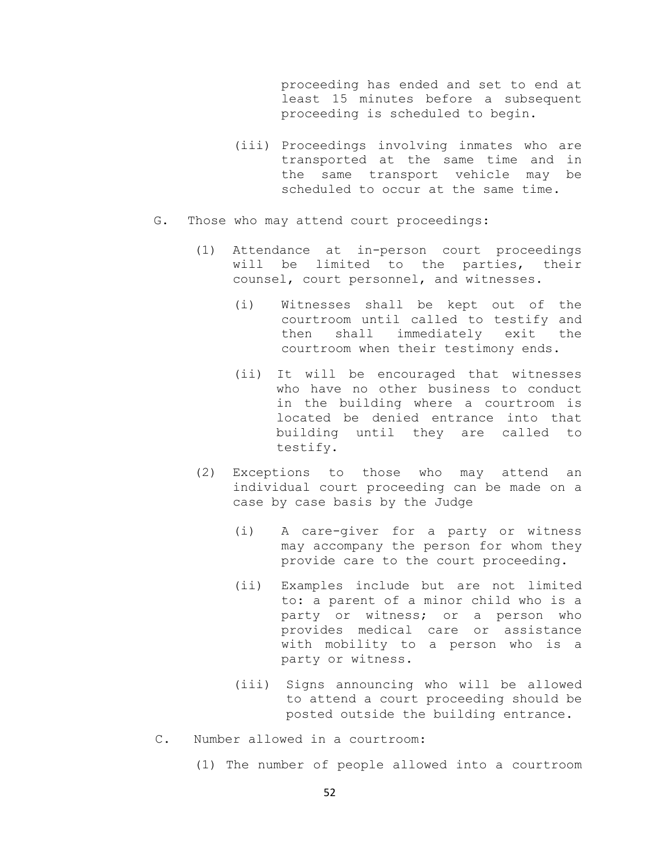proceeding has ended and set to end at least 15 minutes before a subsequent proceeding is scheduled to begin.

- (iii) Proceedings involving inmates who are transported at the same time and in the same transport vehicle may be scheduled to occur at the same time.
- G. Those who may attend court proceedings:
	- (1) Attendance at in-person court proceedings will be limited to the parties, their counsel, court personnel, and witnesses.
		- (i) Witnesses shall be kept out of the courtroom until called to testify and then shall immediately exit the courtroom when their testimony ends.
		- (ii) It will be encouraged that witnesses who have no other business to conduct in the building where a courtroom is located be denied entrance into that building until they are called to testify.
	- (2) Exceptions to those who may attend an individual court proceeding can be made on a case by case basis by the Judge
		- (i) A care-giver for a party or witness may accompany the person for whom they provide care to the court proceeding.
		- (ii) Examples include but are not limited to: a parent of a minor child who is a party or witness; or a person who provides medical care or assistance with mobility to a person who is a party or witness.
		- (iii) Signs announcing who will be allowed to attend a court proceeding should be posted outside the building entrance.
- C. Number allowed in a courtroom:
	- (1) The number of people allowed into a courtroom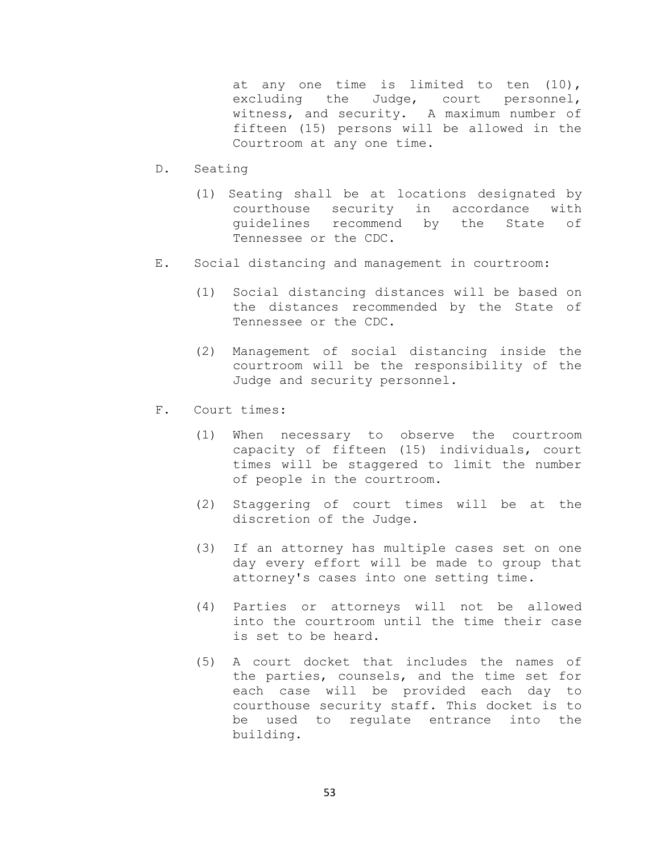at any one time is limited to ten (10), excluding the Judge, court personnel, witness, and security. A maximum number of fifteen (15) persons will be allowed in the Courtroom at any one time.

- D. Seating
	- (1) Seating shall be at locations designated by courthouse security in accordance with guidelines recommend by the State of Tennessee or the CDC.
- E. Social distancing and management in courtroom:
	- (1) Social distancing distances will be based on the distances recommended by the State of Tennessee or the CDC.
	- (2) Management of social distancing inside the courtroom will be the responsibility of the Judge and security personnel.
- F. Court times:
	- (1) When necessary to observe the courtroom capacity of fifteen (15) individuals, court times will be staggered to limit the number of people in the courtroom.
	- (2) Staggering of court times will be at the discretion of the Judge.
	- (3) If an attorney has multiple cases set on one day every effort will be made to group that attorney's cases into one setting time.
	- (4) Parties or attorneys will not be allowed into the courtroom until the time their case is set to be heard.
	- (5) A court docket that includes the names of the parties, counsels, and the time set for each case will be provided each day to courthouse security staff. This docket is to be used to regulate entrance into the building.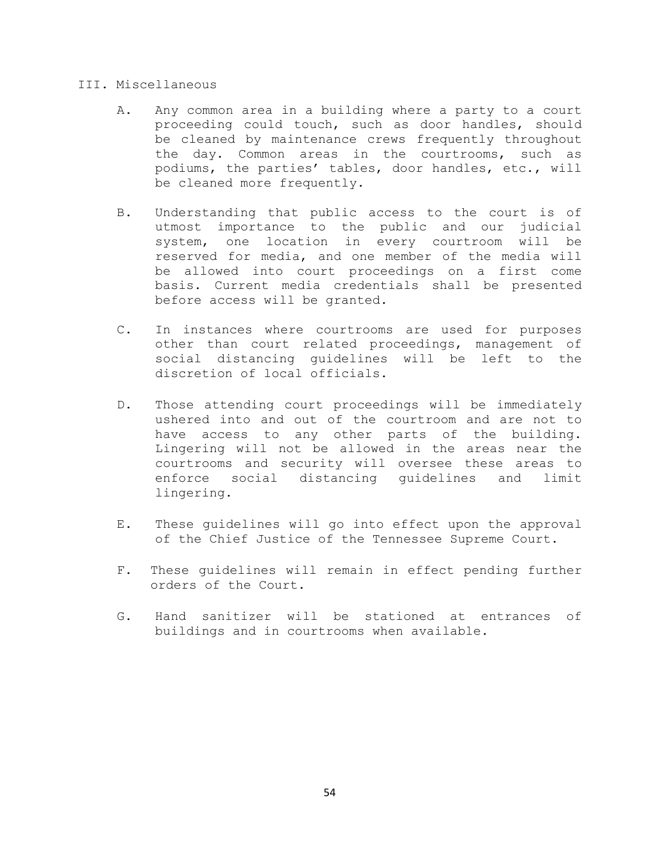## III. Miscellaneous

- A. Any common area in a building where a party to a court proceeding could touch, such as door handles, should be cleaned by maintenance crews frequently throughout the day. Common areas in the courtrooms, such as podiums, the parties' tables, door handles, etc., will be cleaned more frequently.
- B. Understanding that public access to the court is of utmost importance to the public and our judicial system, one location in every courtroom will reserved for media, and one member of the media will be allowed into court proceedings on a first come basis. Current media credentials shall be presented before access will be granted.
- C. In instances where courtrooms are used for purposes other than court related proceedings, management of social distancing guidelines will be left to the discretion of local officials.
- D. Those attending court proceedings will be immediately ushered into and out of the courtroom and are not to have access to any other parts of the building. Lingering will not be allowed in the areas near the courtrooms and security will oversee these areas to enforce social distancing guidelines and limit lingering.
- E. These guidelines will go into effect upon the approval of the Chief Justice of the Tennessee Supreme Court.
- F. These guidelines will remain in effect pending further orders of the Court.
- G. Hand sanitizer will be stationed at entrances of buildings and in courtrooms when available.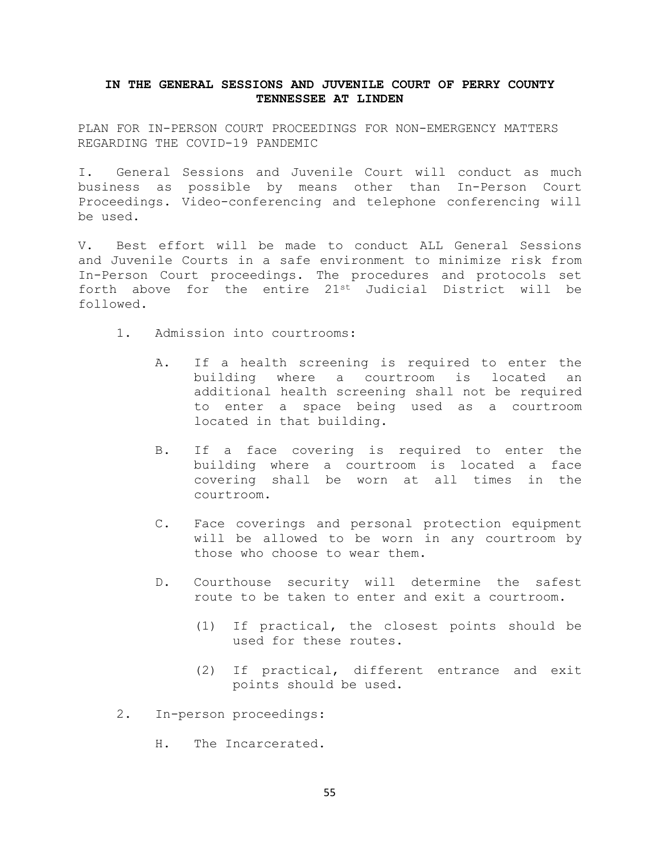## **IN THE GENERAL SESSIONS AND JUVENILE COURT OF PERRY COUNTY TENNESSEE AT LINDEN**

PLAN FOR IN-PERSON COURT PROCEEDINGS FOR NON-EMERGENCY MATTERS REGARDING THE COVID-19 PANDEMIC

I. General Sessions and Juvenile Court will conduct as much business as possible by means other than In-Person Court Proceedings. Video-conferencing and telephone conferencing will be used.

V. Best effort will be made to conduct ALL General Sessions and Juvenile Courts in a safe environment to minimize risk from In-Person Court proceedings. The procedures and protocols set forth above for the entire 21st Judicial District will be followed.

- 1. Admission into courtrooms:
	- A. If a health screening is required to enter the building where a courtroom is located an additional health screening shall not be required to enter a space being used as a courtroom located in that building.
	- B. If a face covering is required to enter the building where a courtroom is located a face covering shall be worn at all times in the courtroom.
	- C. Face coverings and personal protection equipment will be allowed to be worn in any courtroom by those who choose to wear them.
	- D. Courthouse security will determine the safest route to be taken to enter and exit a courtroom.
		- (1) If practical, the closest points should be used for these routes.
		- (2) If practical, different entrance and exit points should be used.
- 2. In-person proceedings:
	- H. The Incarcerated.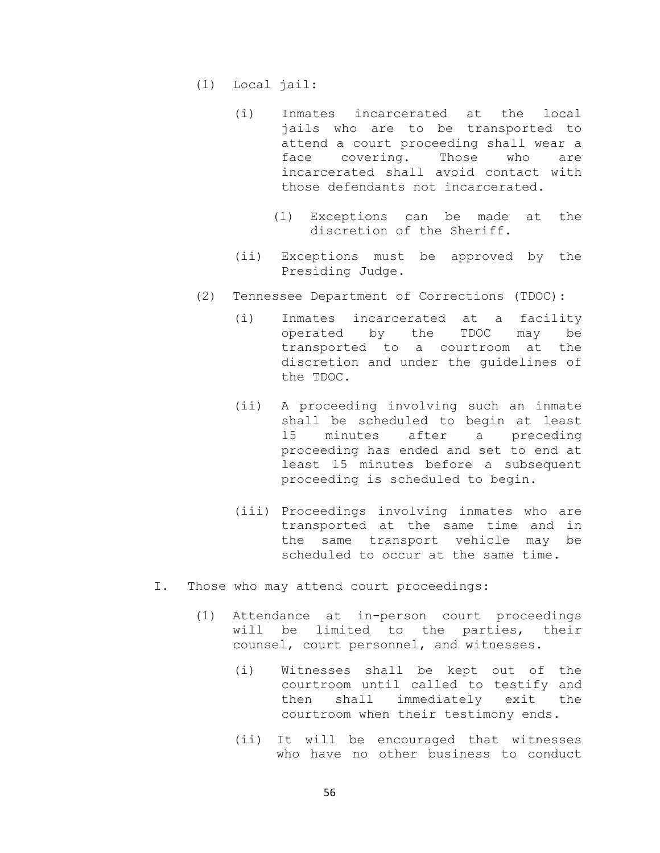- (1) Local jail:
	- (i) Inmates incarcerated at the local jails who are to be transported to attend a court proceeding shall wear a<br>face covering. Those who are face covering. Those who are incarcerated shall avoid contact with those defendants not incarcerated.
		- (1) Exceptions can be made at the discretion of the Sheriff.
	- (ii) Exceptions must be approved by the Presiding Judge.
- (2) Tennessee Department of Corrections (TDOC):
	- (i) Inmates incarcerated at a facility operated by the TDOC may be transported to a courtroom at the discretion and under the guidelines of the TDOC.
	- (ii) A proceeding involving such an inmate shall be scheduled to begin at least 15 minutes after a preceding proceeding has ended and set to end at least 15 minutes before a subsequent proceeding is scheduled to begin.
	- (iii) Proceedings involving inmates who are transported at the same time and in the same transport vehicle may be scheduled to occur at the same time.
- I. Those who may attend court proceedings:
	- (1) Attendance at in-person court proceedings will be limited to the parties, counsel, court personnel, and witnesses.
		- (i) Witnesses shall be kept out of the courtroom until called to testify and then shall immediately exit the courtroom when their testimony ends.
		- (ii) It will be encouraged that witnesses who have no other business to conduct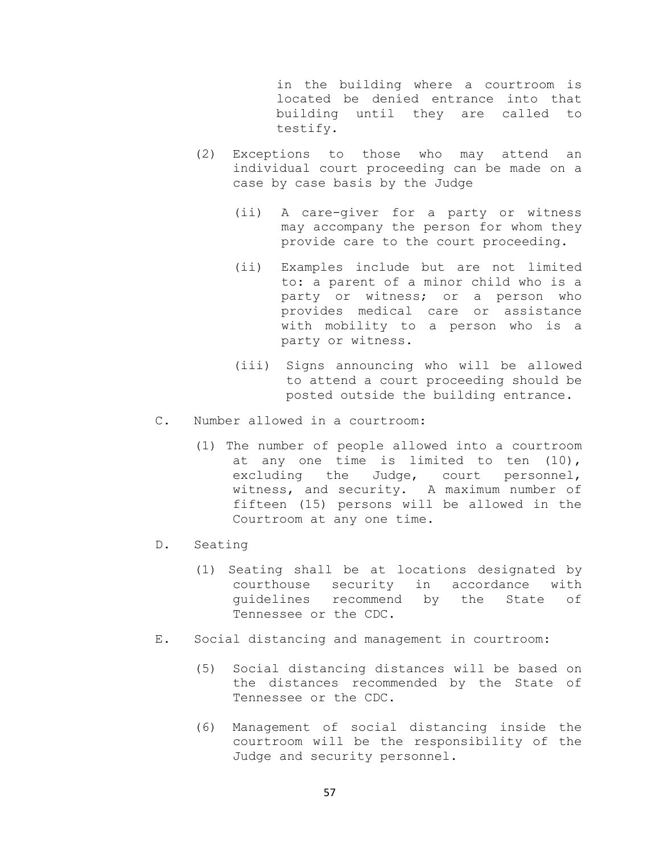in the building where a courtroom is located be denied entrance into that building until they are called to testify.

- (2) Exceptions to those who may attend an individual court proceeding can be made on a case by case basis by the Judge
	- (ii) A care-giver for a party or witness may accompany the person for whom they provide care to the court proceeding.
	- (ii) Examples include but are not limited to: a parent of a minor child who is a party or witness; or a person who provides medical care or assistance with mobility to a person who is a party or witness.
	- (iii) Signs announcing who will be allowed to attend a court proceeding should be posted outside the building entrance.
- C. Number allowed in a courtroom:
	- (1) The number of people allowed into a courtroom at any one time is limited to ten (10), excluding the Judge, court personnel, witness, and security. A maximum number of fifteen (15) persons will be allowed in the Courtroom at any one time.
- D. Seating
	- (1) Seating shall be at locations designated by courthouse security in accordance with<br>quidelines recommend by the State of quidelines recommend by the Tennessee or the CDC.
- E. Social distancing and management in courtroom:
	- (5) Social distancing distances will be based on the distances recommended by the State of Tennessee or the CDC.
	- (6) Management of social distancing inside the courtroom will be the responsibility of the Judge and security personnel.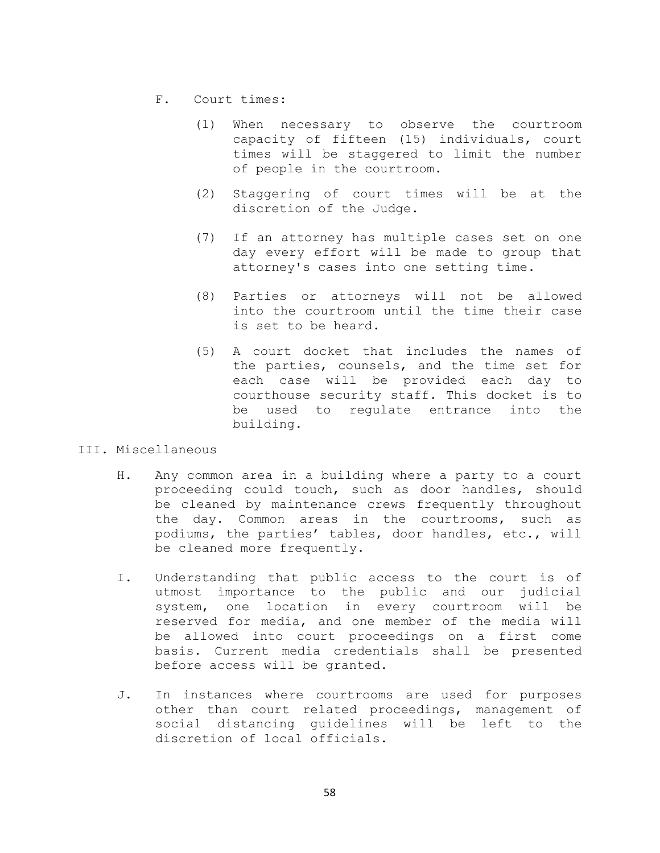- F. Court times:
	- (1) When necessary to observe the courtroom capacity of fifteen (15) individuals, court times will be staggered to limit the number of people in the courtroom.
	- (2) Staggering of court times will be at the discretion of the Judge.
	- (7) If an attorney has multiple cases set on one day every effort will be made to group that attorney's cases into one setting time.
	- (8) Parties or attorneys will not be allowed into the courtroom until the time their case is set to be heard.
	- (5) A court docket that includes the names of the parties, counsels, and the time set for each case will be provided each day to courthouse security staff. This docket is to<br>be used to requlate entrance into the be used to requlate entrance building.
- III. Miscellaneous
	- H. Any common area in a building where a party to a court proceeding could touch, such as door handles, should be cleaned by maintenance crews frequently throughout the day. Common areas in the courtrooms, such as podiums, the parties' tables, door handles, etc., will be cleaned more frequently.
	- I. Understanding that public access to the court is of utmost importance to the public and our judicial system, one location in every courtroom will be reserved for media, and one member of the media will be allowed into court proceedings on a first come basis. Current media credentials shall be presented before access will be granted.
	- J. In instances where courtrooms are used for purposes other than court related proceedings, management of social distancing guidelines will be left to the discretion of local officials.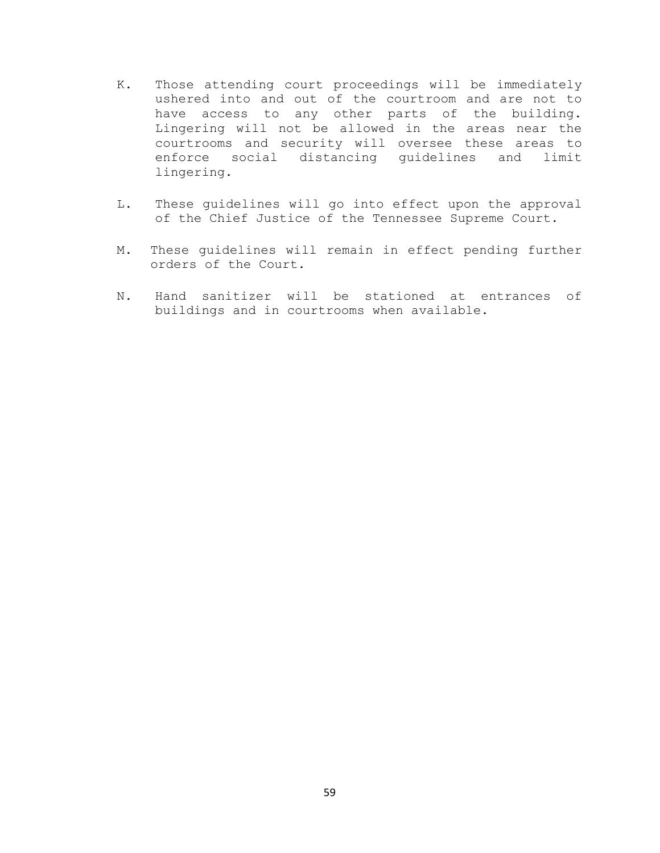- K. Those attending court proceedings will be immediately ushered into and out of the courtroom and are not to have access to any other parts of the building. Lingering will not be allowed in the areas near the courtrooms and security will oversee these areas to enforce social distancing guidelines and lingering.
- L. These guidelines will go into effect upon the approval of the Chief Justice of the Tennessee Supreme Court.
- M. These guidelines will remain in effect pending further orders of the Court.
- N. Hand sanitizer will be stationed at entrances of buildings and in courtrooms when available.